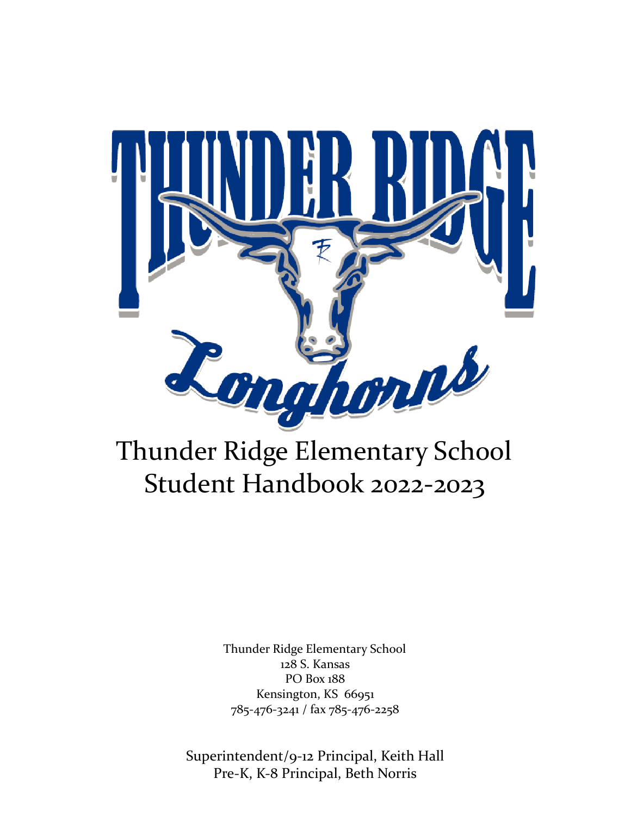

# Thunder Ridge Elementary School Student Handbook 2022-2023

Thunder Ridge Elementary School 128 S. Kansas PO Box 188 Kensington, KS 66951 785-476-3241 / fax 785-476-2258

Superintendent/9-12 Principal, Keith Hall Pre-K, K-8 Principal, Beth Norris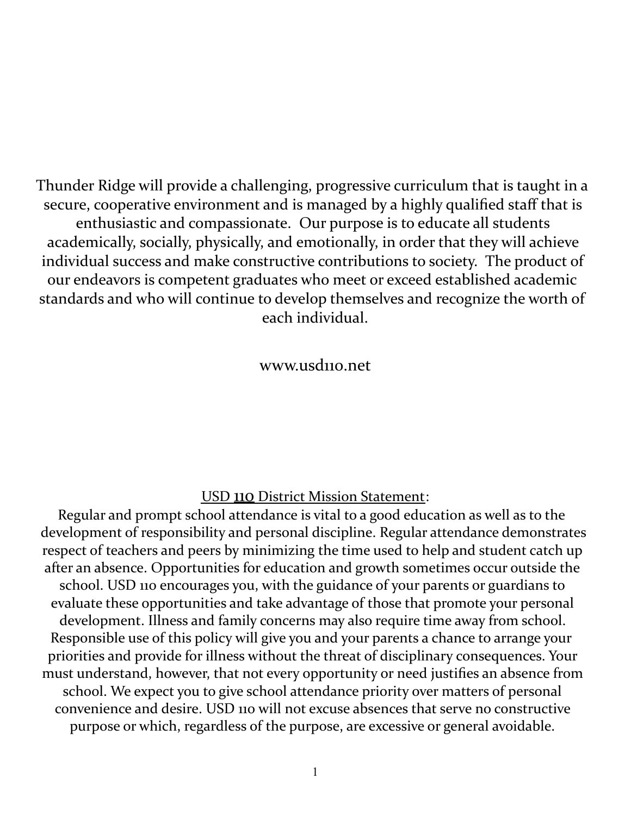Thunder Ridge will provide a challenging, progressive curriculum that is taught in a secure, cooperative environment and is managed by a highly qualified staff that is enthusiastic and compassionate. Our purpose is to educate all students academically, socially, physically, and emotionally, in order that they will achieve individual success and make constructive contributions to society. The product of our endeavors is competent graduates who meet or exceed established academic standards and who will continue to develop themselves and recognize the worth of each individual.

www.usd110.net

# USD 110 District Mission Statement:

Regular and prompt school attendance is vital to a good education as well as to the development of responsibility and personal discipline. Regular attendance demonstrates respect of teachers and peers by minimizing the time used to help and student catch up after an absence. Opportunities for education and growth sometimes occur outside the school. USD 110 encourages you, with the guidance of your parents or guardians to evaluate these opportunities and take advantage of those that promote your personal development. Illness and family concerns may also require time away from school. Responsible use of this policy will give you and your parents a chance to arrange your priorities and provide for illness without the threat of disciplinary consequences. Your must understand, however, that not every opportunity or need justifies an absence from school. We expect you to give school attendance priority over matters of personal convenience and desire. USD 110 will not excuse absences that serve no constructive purpose or which, regardless of the purpose, are excessive or general avoidable.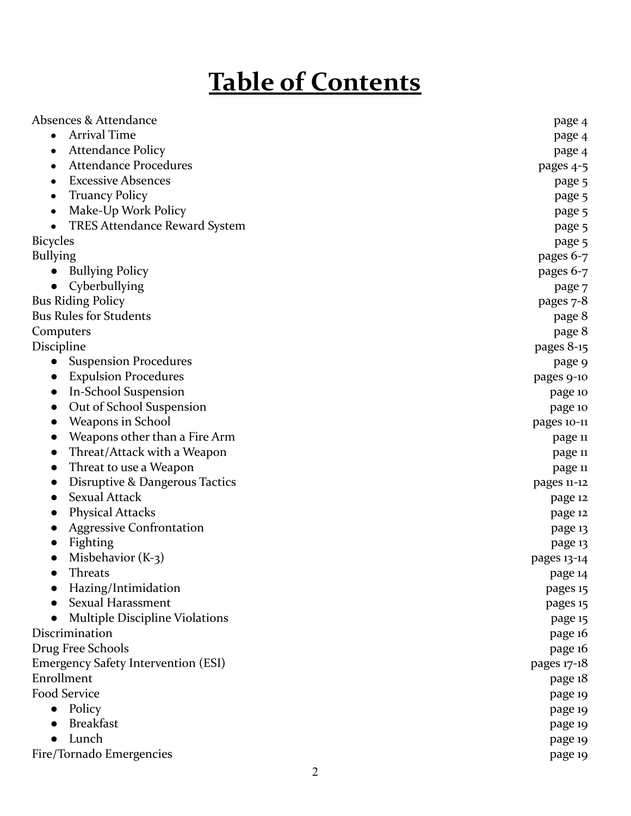# **Table of Contents**

| Absences & Attendance                      | page 4      |
|--------------------------------------------|-------------|
| <b>Arrival Time</b><br>$\bullet$           | page 4      |
| <b>Attendance Policy</b>                   | page 4      |
| <b>Attendance Procedures</b>               | pages 4-5   |
| <b>Excessive Absences</b>                  | page 5      |
| <b>Truancy Policy</b>                      | page 5      |
| Make-Up Work Policy                        | page 5      |
| <b>TRES Attendance Reward System</b>       | page 5      |
| <b>Bicycles</b>                            | page 5      |
| <b>Bullying</b>                            | pages 6-7   |
| <b>Bullying Policy</b>                     | pages 6-7   |
| Cyberbullying                              | page 7      |
| <b>Bus Riding Policy</b>                   | pages 7-8   |
| <b>Bus Rules for Students</b>              | page 8      |
| Computers                                  | page 8      |
| Discipline                                 | pages 8-15  |
| <b>Suspension Procedures</b>               | page 9      |
| <b>Expulsion Procedures</b>                | pages 9-10  |
| In-School Suspension                       | page 10     |
| Out of School Suspension                   | page 10     |
| Weapons in School                          | pages 10-11 |
| Weapons other than a Fire Arm              | page 11     |
| Threat/Attack with a Weapon                | page 11     |
| Threat to use a Weapon                     | page 11     |
| Disruptive & Dangerous Tactics             | pages 11-12 |
| <b>Sexual Attack</b>                       | page 12     |
| <b>Physical Attacks</b>                    | page 12     |
| <b>Aggressive Confrontation</b>            | page 13     |
| Fighting                                   | page 13     |
| Misbehavior $(K-3)$                        | pages 13-14 |
| Threats                                    | page 14     |
| Hazing/Intimidation                        | pages 15    |
| Sexual Harassment                          | pages 15    |
| <b>Multiple Discipline Violations</b>      | page 15     |
| Discrimination                             | page 16     |
| Drug Free Schools                          | page 16     |
| <b>Emergency Safety Intervention (ESI)</b> | pages 17-18 |
| Enrollment                                 | page 18     |
| Food Service                               | page 19     |
| Policy                                     | page 19     |
| <b>Breakfast</b>                           | page 19     |
| Lunch                                      | page 19     |
| Fire/Tornado Emergencies                   | page 19     |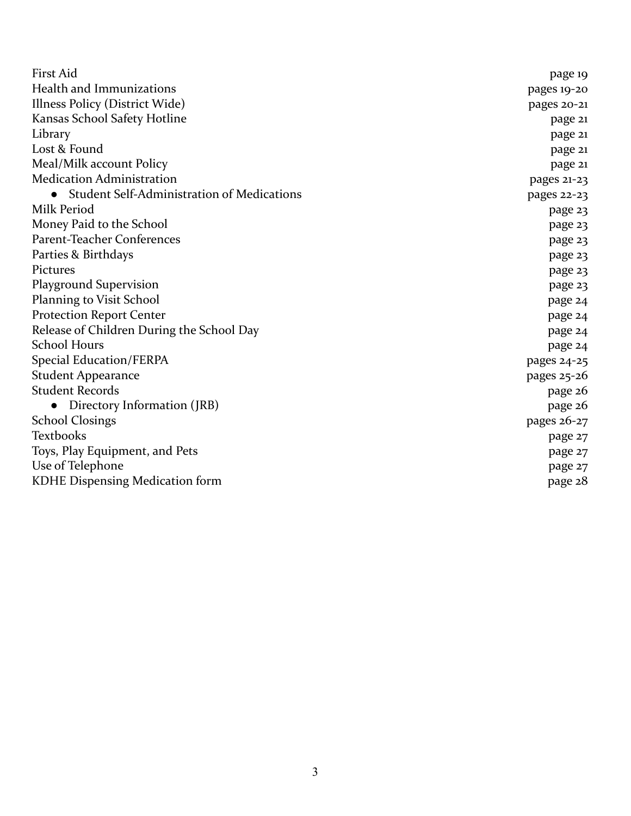| <b>First Aid</b>                           | page 19       |
|--------------------------------------------|---------------|
| Health and Immunizations                   | pages 19-20   |
| Illness Policy (District Wide)             | pages 20-21   |
| Kansas School Safety Hotline               | page 21       |
| Library                                    | page 21       |
| Lost & Found                               | page 21       |
| Meal/Milk account Policy                   | page 21       |
| <b>Medication Administration</b>           | pages 21-23   |
| Student Self-Administration of Medications | pages 22-23   |
| Milk Period                                | page 23       |
| Money Paid to the School                   | page 23       |
| Parent-Teacher Conferences                 | page 23       |
| Parties & Birthdays                        | page 23       |
| Pictures                                   | page 23       |
| <b>Playground Supervision</b>              | page 23       |
| Planning to Visit School                   | page 24       |
| <b>Protection Report Center</b>            | page 24       |
| Release of Children During the School Day  | page 24       |
| <b>School Hours</b>                        | page 24       |
| <b>Special Education/FERPA</b>             | pages 24-25   |
| <b>Student Appearance</b>                  | pages $25-26$ |
| <b>Student Records</b>                     | page 26       |
| Directory Information (JRB)                | page 26       |
| <b>School Closings</b>                     | pages 26-27   |
| Textbooks                                  | page 27       |
| Toys, Play Equipment, and Pets             | page 27       |
| Use of Telephone                           | page 27       |
| KDHE Dispensing Medication form            | page 28       |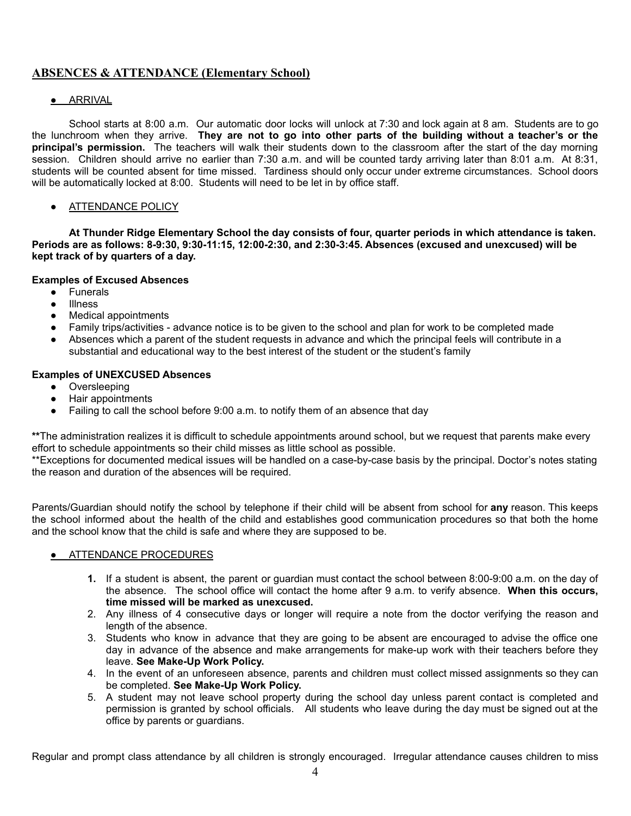# **ABSENCES & ATTENDANCE (Elementary School)**

# ● ARRIVAL

School starts at 8:00 a.m. Our automatic door locks will unlock at 7:30 and lock again at 8 am. Students are to go the lunchroom when they arrive. **They are not to go into other parts of the building without a teacher's or the principal's permission.** The teachers will walk their students down to the classroom after the start of the day morning session. Children should arrive no earlier than 7:30 a.m. and will be counted tardy arriving later than 8:01 a.m. At 8:31, students will be counted absent for time missed. Tardiness should only occur under extreme circumstances. School doors will be automatically locked at 8:00. Students will need to be let in by office staff.

# **• ATTENDANCE POLICY**

**At Thunder Ridge Elementary School the day consists of four, quarter periods in which attendance is taken. Periods are as follows: 8-9:30, 9:30-11:15, 12:00-2:30, and 2:30-3:45. Absences (excused and unexcused) will be kept track of by quarters of a day.**

# **Examples of Excused Absences**

- Funerals
- Illness
- **Medical appointments**
- Family trips/activities advance notice is to be given to the school and plan for work to be completed made
- Absences which a parent of the student requests in advance and which the principal feels will contribute in a substantial and educational way to the best interest of the student or the student's family

#### **Examples of UNEXCUSED Absences**

- Oversleeping
- Hair appointments
- Failing to call the school before 9:00 a.m. to notify them of an absence that day

**\*\***The administration realizes it is difficult to schedule appointments around school, but we request that parents make every effort to schedule appointments so their child misses as little school as possible.

\*\*Exceptions for documented medical issues will be handled on a case-by-case basis by the principal. Doctor's notes stating the reason and duration of the absences will be required.

Parents/Guardian should notify the school by telephone if their child will be absent from school for **any** reason. This keeps the school informed about the health of the child and establishes good communication procedures so that both the home and the school know that the child is safe and where they are supposed to be.

# ● ATTENDANCE PROCEDURES

- **1.** If a student is absent, the parent or guardian must contact the school between 8:00-9:00 a.m. on the day of the absence. The school office will contact the home after 9 a.m. to verify absence. **When this occurs, time missed will be marked as unexcused.**
- 2. Any illness of 4 consecutive days or longer will require a note from the doctor verifying the reason and length of the absence.
- 3. Students who know in advance that they are going to be absent are encouraged to advise the office one day in advance of the absence and make arrangements for make-up work with their teachers before they leave. **See Make-Up Work Policy.**
- 4. In the event of an unforeseen absence, parents and children must collect missed assignments so they can be completed. **See Make-Up Work Policy.**
- 5. A student may not leave school property during the school day unless parent contact is completed and permission is granted by school officials. All students who leave during the day must be signed out at the office by parents or guardians.

Regular and prompt class attendance by all children is strongly encouraged. Irregular attendance causes children to miss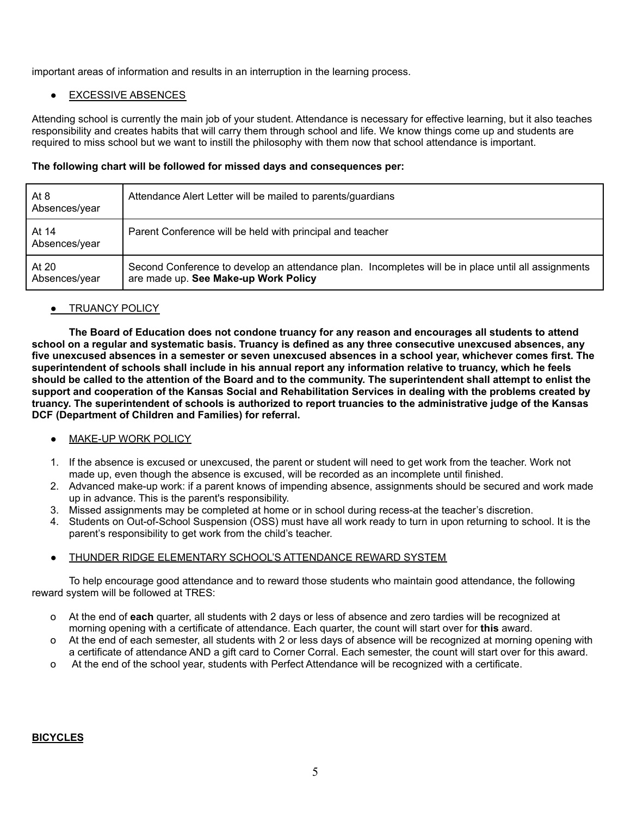important areas of information and results in an interruption in the learning process.

# ● EXCESSIVE ABSENCES

Attending school is currently the main job of your student. Attendance is necessary for effective learning, but it also teaches responsibility and creates habits that will carry them through school and life. We know things come up and students are required to miss school but we want to instill the philosophy with them now that school attendance is important.

# **The following chart will be followed for missed days and consequences per:**

| At 8<br>Absences/year  | Attendance Alert Letter will be mailed to parents/guardians                                                                                 |
|------------------------|---------------------------------------------------------------------------------------------------------------------------------------------|
| At 14<br>Absences/year | Parent Conference will be held with principal and teacher                                                                                   |
| At 20<br>Absences/year | Second Conference to develop an attendance plan. Incompletes will be in place until all assignments<br>are made up. See Make-up Work Policy |

# **• TRUANCY POLICY**

**The Board of Education does not condone truancy for any reason and encourages all students to attend school on a regular and systematic basis. Truancy is defined as any three consecutive unexcused absences, any five unexcused absences in a semester or seven unexcused absences in a school year, whichever comes first. The superintendent of schools shall include in his annual report any information relative to truancy, which he feels should be called to the attention of the Board and to the community. The superintendent shall attempt to enlist the support and cooperation of the Kansas Social and Rehabilitation Services in dealing with the problems created by truancy. The superintendent of schools is authorized to report truancies to the administrative judge of the Kansas DCF (Department of Children and Families) for referral.**

# MAKE-UP WORK POLICY

- 1. If the absence is excused or unexcused, the parent or student will need to get work from the teacher. Work not made up, even though the absence is excused, will be recorded as an incomplete until finished.
- 2. Advanced make-up work: if a parent knows of impending absence, assignments should be secured and work made up in advance. This is the parent's responsibility.
- 3. Missed assignments may be completed at home or in school during recess-at the teacher's discretion.
- 4. Students on Out-of-School Suspension (OSS) must have all work ready to turn in upon returning to school. It is the parent's responsibility to get work from the child's teacher.

# THUNDER RIDGE ELEMENTARY SCHOOL'S ATTENDANCE REWARD SYSTEM

To help encourage good attendance and to reward those students who maintain good attendance, the following reward system will be followed at TRES:

- o At the end of **each** quarter, all students with 2 days or less of absence and zero tardies will be recognized at morning opening with a certificate of attendance. Each quarter, the count will start over for **this** award.
- o At the end of each semester, all students with 2 or less days of absence will be recognized at morning opening with a certificate of attendance AND a gift card to Corner Corral. Each semester, the count will start over for this award.
- o At the end of the school year, students with Perfect Attendance will be recognized with a certificate.

# **BICYCLES**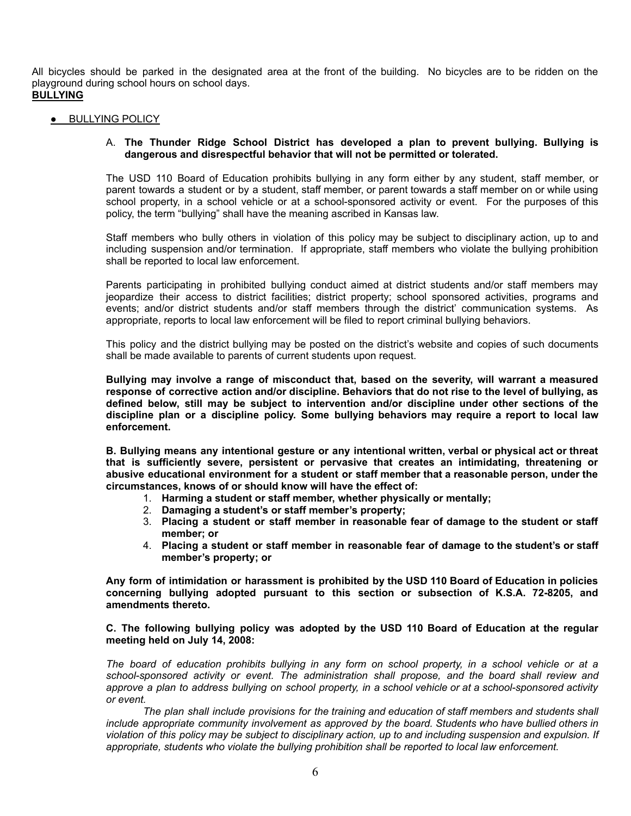All bicycles should be parked in the designated area at the front of the building. No bicycles are to be ridden on the playground during school hours on school days.

**BULLYING**

**•** BULLYING POLICY

# A. **The Thunder Ridge School District has developed a plan to prevent bullying. Bullying is dangerous and disrespectful behavior that will not be permitted or tolerated.**

The USD 110 Board of Education prohibits bullying in any form either by any student, staff member, or parent towards a student or by a student, staff member, or parent towards a staff member on or while using school property, in a school vehicle or at a school-sponsored activity or event. For the purposes of this policy, the term "bullying" shall have the meaning ascribed in Kansas law.

Staff members who bully others in violation of this policy may be subject to disciplinary action, up to and including suspension and/or termination. If appropriate, staff members who violate the bullying prohibition shall be reported to local law enforcement.

Parents participating in prohibited bullying conduct aimed at district students and/or staff members may jeopardize their access to district facilities; district property; school sponsored activities, programs and events; and/or district students and/or staff members through the district' communication systems. As appropriate, reports to local law enforcement will be filed to report criminal bullying behaviors.

This policy and the district bullying may be posted on the district's website and copies of such documents shall be made available to parents of current students upon request.

**Bullying may involve a range of misconduct that, based on the severity, will warrant a measured response of corrective action and/or discipline. Behaviors that do not rise to the level of bullying, as defined below, still may be subject to intervention and/or discipline under other sections of the discipline plan or a discipline policy. Some bullying behaviors may require a report to local law enforcement.**

**B. Bullying means any intentional gesture or any intentional written, verbal or physical act or threat that is sufficiently severe, persistent or pervasive that creates an intimidating, threatening or abusive educational environment for a student or staff member that a reasonable person, under the circumstances, knows of or should know will have the effect of:**

- 1. **Harming a student or staff member, whether physically or mentally;**
- 2. **Damaging a student's or staff member's property;**
- 3. **Placing a student or staff member in reasonable fear of damage to the student or staff member; or**
- 4. **Placing a student or staff member in reasonable fear of damage to the student's or staff member's property; or**

**Any form of intimidation or harassment is prohibited by the USD 110 Board of Education in policies concerning bullying adopted pursuant to this section or subsection of K.S.A. 72-8205, and amendments thereto.**

#### **C. The following bullying policy was adopted by the USD 110 Board of Education at the regular meeting held on July 14, 2008:**

*The board of education prohibits bullying in any form on school property, in a school vehicle or at a school-sponsored activity or event. The administration shall propose, and the board shall review and approve a plan to address bullying on school property, in a school vehicle or at a school-sponsored activity or event.*

*The plan shall include provisions for the training and education of staff members and students shall include appropriate community involvement as approved by the board. Students who have bullied others in violation of this policy may be subject to disciplinary action, up to and including suspension and expulsion. If appropriate, students who violate the bullying prohibition shall be reported to local law enforcement.*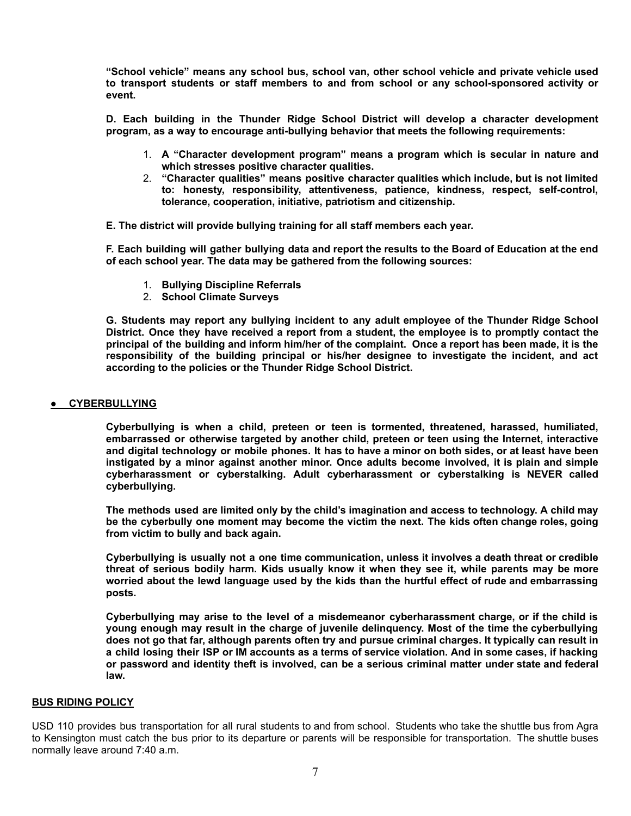**"School vehicle" means any school bus, school van, other school vehicle and private vehicle used to transport students or staff members to and from school or any school-sponsored activity or event.**

**D. Each building in the Thunder Ridge School District will develop a character development program, as a way to encourage anti-bullying behavior that meets the following requirements:**

- 1. **A "Character development program" means a program which is secular in nature and which stresses positive character qualities.**
- 2. **"Character qualities" means positive character qualities which include, but is not limited to: honesty, responsibility, attentiveness, patience, kindness, respect, self-control, tolerance, cooperation, initiative, patriotism and citizenship.**

**E. The district will provide bullying training for all staff members each year.**

**F. Each building will gather bullying data and report the results to the Board of Education at the end of each school year. The data may be gathered from the following sources:**

- 1. **Bullying Discipline Referrals**
- 2. **School Climate Surveys**

**G. Students may report any bullying incident to any adult employee of the Thunder Ridge School District. Once they have received a report from a student, the employee is to promptly contact the principal of the building and inform him/her of the complaint. Once a report has been made, it is the responsibility of the building principal or his/her designee to investigate the incident, and act according to the policies or the Thunder Ridge School District.**

#### ● **CYBERBULLYING**

**Cyberbullying is when a child, preteen or teen is tormented, threatened, harassed, humiliated, embarrassed or otherwise targeted by another child, preteen or teen using the Internet, interactive and digital technology or mobile phones. It has to have a minor on both sides, or at least have been instigated by a minor against another minor. Once adults become involved, it is plain and simple cyberharassment or cyberstalking. Adult cyberharassment or cyberstalking is NEVER called cyberbullying.**

**The methods used are limited only by the child's imagination and access to technology. A child may be the cyberbully one moment may become the victim the next. The kids often change roles, going from victim to bully and back again.**

**Cyberbullying is usually not a one time communication, unless it involves a death threat or credible threat of serious bodily harm. Kids usually know it when they see it, while parents may be more worried about the lewd language used by the kids than the hurtful effect of rude and embarrassing posts.**

**Cyberbullying may arise to the level of a misdemeanor cyberharassment charge, or if the child is young enough may result in the charge of juvenile delinquency. Most of the time the cyberbullying does not go that far, although parents often try and pursue criminal charges. It typically can result in a child losing their ISP or IM accounts as a terms of service violation. And in some cases, if hacking or password and identity theft is involved, can be a serious criminal matter under state and federal law.**

# **BUS RIDING POLICY**

USD 110 provides bus transportation for all rural students to and from school. Students who take the shuttle bus from Agra to Kensington must catch the bus prior to its departure or parents will be responsible for transportation. The shuttle buses normally leave around 7:40 a.m.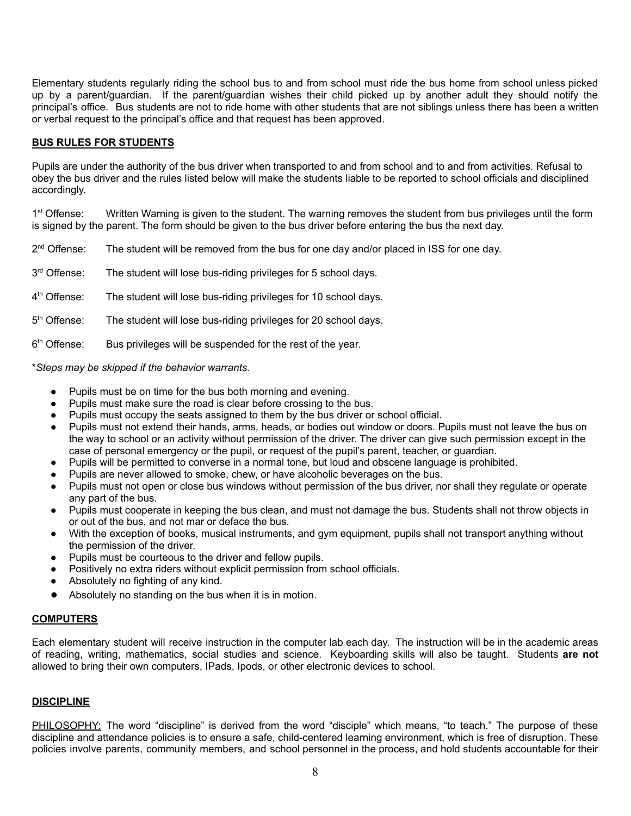Elementary students regularly riding the school bus to and from school must ride the bus home from school unless picked up by a parent/guardian. If the parent/guardian wishes their child picked up by another adult they should notify the principal's office. Bus students are not to ride home with other students that are not siblings unless there has been a written or verbal request to the principal's office and that request has been approved.

#### **BUS RULES FOR STUDENTS**

Pupils are under the authority of the bus driver when transported to and from school and to and from activities. Refusal to obey the bus driver and the rules listed below will make the students liable to be reported to school officials and disciplined accordingly.

1<sup>st</sup> Offense: Written Warning is given to the student. The warning removes the student from bus privileges until the form is signed by the parent. The form should be given to the bus driver before entering the bus the next day.

2<sup>nd</sup> Offense: The student will be removed from the bus for one day and/or placed in ISS for one day.

3rd Offense: The student will lose bus-riding privileges for 5 school days.

4<sup>th</sup> Offense: The student will lose bus-riding privileges for 10 school days.

5<sup>th</sup> Offense: The student will lose bus-riding privileges for 20 school days.

6<sup>th</sup> Offense: Bus privileges will be suspended for the rest of the year.

\**Steps may be skipped if the behavior warrants.*

- Pupils must be on time for the bus both morning and evening.
- Pupils must make sure the road is clear before crossing to the bus.
- Pupils must occupy the seats assigned to them by the bus driver or school official.
- Pupils must not extend their hands, arms, heads, or bodies out window or doors. Pupils must not leave the bus on the way to school or an activity without permission of the driver. The driver can give such permission except in the case of personal emergency or the pupil, or request of the pupil's parent, teacher, or guardian.
- Pupils will be permitted to converse in a normal tone, but loud and obscene language is prohibited.
- Pupils are never allowed to smoke, chew, or have alcoholic beverages on the bus.
- Pupils must not open or close bus windows without permission of the bus driver, nor shall they regulate or operate any part of the bus.
- Pupils must cooperate in keeping the bus clean, and must not damage the bus. Students shall not throw objects in or out of the bus, and not mar or deface the bus.
- With the exception of books, musical instruments, and gym equipment, pupils shall not transport anything without the permission of the driver.
- Pupils must be courteous to the driver and fellow pupils.
- Positively no extra riders without explicit permission from school officials.
- Absolutely no fighting of any kind.
- Absolutely no standing on the bus when it is in motion.

# **COMPUTERS**

Each elementary student will receive instruction in the computer lab each day. The instruction will be in the academic areas of reading, writing, mathematics, social studies and science. Keyboarding skills will also be taught. Students **are not** allowed to bring their own computers, IPads, Ipods, or other electronic devices to school.

#### **DISCIPLINE**

PHILOSOPHY: The word "discipline" is derived from the word "disciple" which means, "to teach." The purpose of these discipline and attendance policies is to ensure a safe, child-centered learning environment, which is free of disruption. These policies involve parents, community members, and school personnel in the process, and hold students accountable for their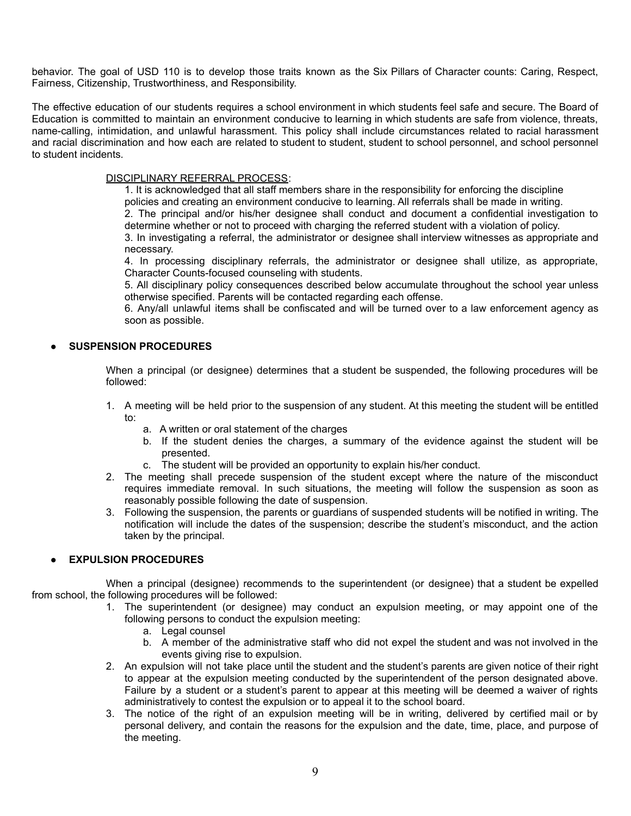behavior. The goal of USD 110 is to develop those traits known as the Six Pillars of Character counts: Caring, Respect, Fairness, Citizenship, Trustworthiness, and Responsibility.

The effective education of our students requires a school environment in which students feel safe and secure. The Board of Education is committed to maintain an environment conducive to learning in which students are safe from violence, threats, name-calling, intimidation, and unlawful harassment. This policy shall include circumstances related to racial harassment and racial discrimination and how each are related to student to student, student to school personnel, and school personnel to student incidents.

#### DISCIPLINARY REFERRAL PROCESS:

 1. It is acknowledged that all staff members share in the responsibility for enforcing the discipline policies and creating an environment conducive to learning. All referrals shall be made in writing.

 2. The principal and/or his/her designee shall conduct and document a confidential investigation to determine whether or not to proceed with charging the referred student with a violation of policy.

 3. In investigating a referral, the administrator or designee shall interview witnesses as appropriate and necessary.

 4. In processing disciplinary referrals, the administrator or designee shall utilize, as appropriate, Character Counts-focused counseling with students.

 5. All disciplinary policy consequences described below accumulate throughout the school year unless otherwise specified. Parents will be contacted regarding each offense.

 6. Any/all unlawful items shall be confiscated and will be turned over to a law enforcement agency as soon as possible.

# **SUSPENSION PROCEDURES**

When a principal (or designee) determines that a student be suspended, the following procedures will be followed:

- 1. A meeting will be held prior to the suspension of any student. At this meeting the student will be entitled to:
	- a. A written or oral statement of the charges
	- b. If the student denies the charges, a summary of the evidence against the student will be presented.
	- c. The student will be provided an opportunity to explain his/her conduct.
- 2. The meeting shall precede suspension of the student except where the nature of the misconduct requires immediate removal. In such situations, the meeting will follow the suspension as soon as reasonably possible following the date of suspension.
- 3. Following the suspension, the parents or guardians of suspended students will be notified in writing. The notification will include the dates of the suspension; describe the student's misconduct, and the action taken by the principal.

# **● EXPULSION PROCEDURES**

When a principal (designee) recommends to the superintendent (or designee) that a student be expelled from school, the following procedures will be followed:

- 1. The superintendent (or designee) may conduct an expulsion meeting, or may appoint one of the following persons to conduct the expulsion meeting:
	- a. Legal counsel
	- b. A member of the administrative staff who did not expel the student and was not involved in the events giving rise to expulsion.
	- 2. An expulsion will not take place until the student and the student's parents are given notice of their right to appear at the expulsion meeting conducted by the superintendent of the person designated above. Failure by a student or a student's parent to appear at this meeting will be deemed a waiver of rights administratively to contest the expulsion or to appeal it to the school board.
	- 3. The notice of the right of an expulsion meeting will be in writing, delivered by certified mail or by personal delivery, and contain the reasons for the expulsion and the date, time, place, and purpose of the meeting.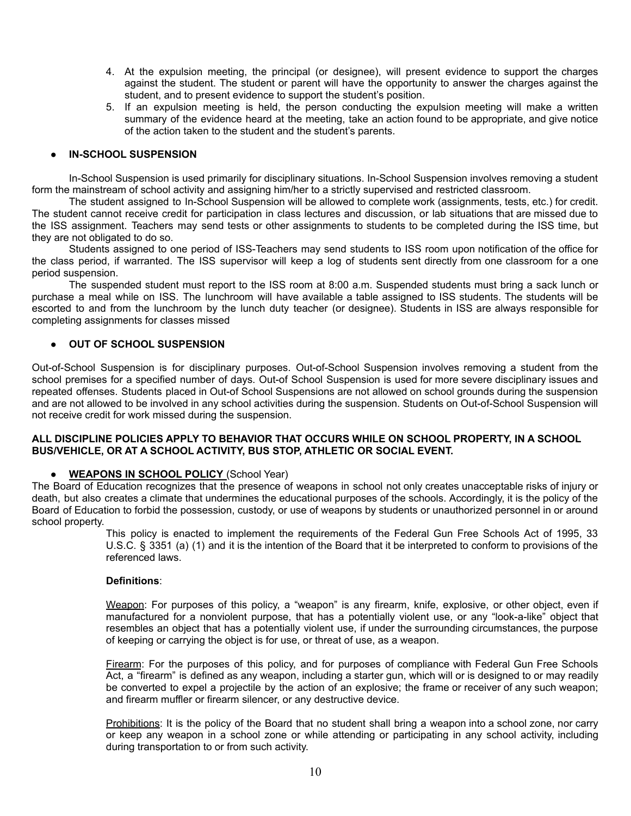- 4. At the expulsion meeting, the principal (or designee), will present evidence to support the charges against the student. The student or parent will have the opportunity to answer the charges against the student, and to present evidence to support the student's position.
- 5. If an expulsion meeting is held, the person conducting the expulsion meeting will make a written summary of the evidence heard at the meeting, take an action found to be appropriate, and give notice of the action taken to the student and the student's parents.

#### **IN-SCHOOL SUSPENSION**

In-School Suspension is used primarily for disciplinary situations. In-School Suspension involves removing a student form the mainstream of school activity and assigning him/her to a strictly supervised and restricted classroom.

The student assigned to In-School Suspension will be allowed to complete work (assignments, tests, etc.) for credit. The student cannot receive credit for participation in class lectures and discussion, or lab situations that are missed due to the ISS assignment. Teachers may send tests or other assignments to students to be completed during the ISS time, but they are not obligated to do so.

Students assigned to one period of ISS-Teachers may send students to ISS room upon notification of the office for the class period, if warranted. The ISS supervisor will keep a log of students sent directly from one classroom for a one period suspension.

The suspended student must report to the ISS room at 8:00 a.m. Suspended students must bring a sack lunch or purchase a meal while on ISS. The lunchroom will have available a table assigned to ISS students. The students will be escorted to and from the lunchroom by the lunch duty teacher (or designee). Students in ISS are always responsible for completing assignments for classes missed

#### ● **OUT OF SCHOOL SUSPENSION**

Out-of-School Suspension is for disciplinary purposes. Out-of-School Suspension involves removing a student from the school premises for a specified number of days. Out-of School Suspension is used for more severe disciplinary issues and repeated offenses. Students placed in Out-of School Suspensions are not allowed on school grounds during the suspension and are not allowed to be involved in any school activities during the suspension. Students on Out-of-School Suspension will not receive credit for work missed during the suspension.

#### **ALL DISCIPLINE POLICIES APPLY TO BEHAVIOR THAT OCCURS WHILE ON SCHOOL PROPERTY, IN A SCHOOL BUS/VEHICLE, OR AT A SCHOOL ACTIVITY, BUS STOP, ATHLETIC OR SOCIAL EVENT.**

#### ● **WEAPONS IN SCHOOL POLICY** (School Year)

The Board of Education recognizes that the presence of weapons in school not only creates unacceptable risks of injury or death, but also creates a climate that undermines the educational purposes of the schools. Accordingly, it is the policy of the Board of Education to forbid the possession, custody, or use of weapons by students or unauthorized personnel in or around school property.

This policy is enacted to implement the requirements of the Federal Gun Free Schools Act of 1995, 33 U.S.C. § 3351 (a) (1) and it is the intention of the Board that it be interpreted to conform to provisions of the referenced laws.

#### **Definitions**:

Weapon: For purposes of this policy, a "weapon" is any firearm, knife, explosive, or other object, even if manufactured for a nonviolent purpose, that has a potentially violent use, or any "look-a-like" object that resembles an object that has a potentially violent use, if under the surrounding circumstances, the purpose of keeping or carrying the object is for use, or threat of use, as a weapon.

Firearm: For the purposes of this policy, and for purposes of compliance with Federal Gun Free Schools Act, a "firearm" is defined as any weapon, including a starter gun, which will or is designed to or may readily be converted to expel a projectile by the action of an explosive; the frame or receiver of any such weapon; and firearm muffler or firearm silencer, or any destructive device.

Prohibitions: It is the policy of the Board that no student shall bring a weapon into a school zone, nor carry or keep any weapon in a school zone or while attending or participating in any school activity, including during transportation to or from such activity.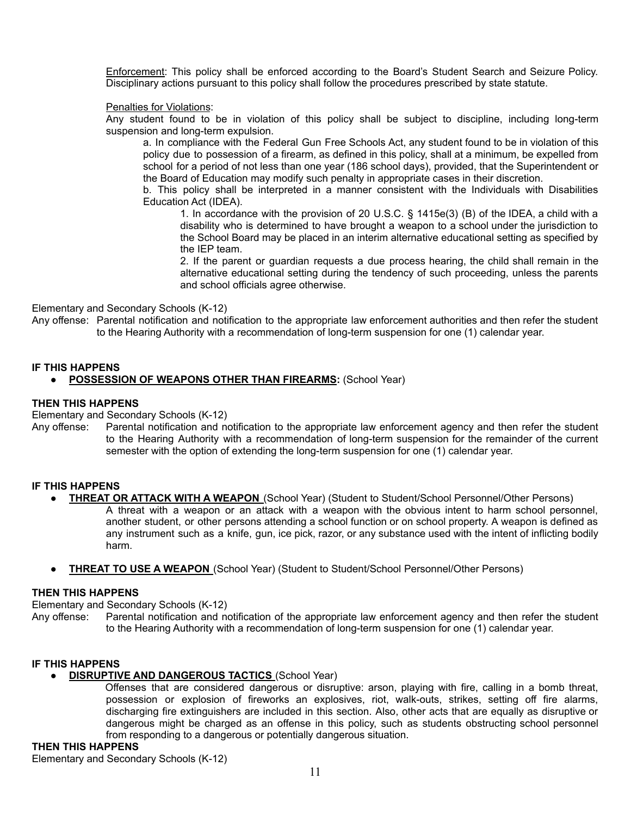Enforcement: This policy shall be enforced according to the Board's Student Search and Seizure Policy. Disciplinary actions pursuant to this policy shall follow the procedures prescribed by state statute.

#### Penalties for Violations:

Any student found to be in violation of this policy shall be subject to discipline, including long-term suspension and long-term expulsion.

 a. In compliance with the Federal Gun Free Schools Act, any student found to be in violation of this policy due to possession of a firearm, as defined in this policy, shall at a minimum, be expelled from school for a period of not less than one year (186 school days), provided, that the Superintendent or the Board of Education may modify such penalty in appropriate cases in their discretion.

 b. This policy shall be interpreted in a manner consistent with the Individuals with Disabilities Education Act (IDEA).

 1. In accordance with the provision of 20 U.S.C. § 1415e(3) (B) of the IDEA, a child with a disability who is determined to have brought a weapon to a school under the jurisdiction to the School Board may be placed in an interim alternative educational setting as specified by the IEP team.

 2. If the parent or guardian requests a due process hearing, the child shall remain in the alternative educational setting during the tendency of such proceeding, unless the parents and school officials agree otherwise.

#### Elementary and Secondary Schools (K-12)

Any offense: Parental notification and notification to the appropriate law enforcement authorities and then refer the student to the Hearing Authority with a recommendation of long-term suspension for one (1) calendar year.

# **IF THIS HAPPENS**

# ● **POSSESSION OF WEAPONS OTHER THAN FIREARMS:** (School Year)

#### **THEN THIS HAPPENS**

Elementary and Secondary Schools (K-12)

Any offense: Parental notification and notification to the appropriate law enforcement agency and then refer the student to the Hearing Authority with a recommendation of long-term suspension for the remainder of the current semester with the option of extending the long-term suspension for one (1) calendar year.

#### **IF THIS HAPPENS**

- **THREAT OR ATTACK WITH A WEAPON** (School Year) (Student to Student/School Personnel/Other Persons) A threat with a weapon or an attack with a weapon with the obvious intent to harm school personnel, another student, or other persons attending a school function or on school property. A weapon is defined as any instrument such as a knife, gun, ice pick, razor, or any substance used with the intent of inflicting bodily harm.
- **THREAT TO USE A WEAPON** (School Year) (Student to Student/School Personnel/Other Persons)

#### **THEN THIS HAPPENS**

Elementary and Secondary Schools (K-12)

Any offense: Parental notification and notification of the appropriate law enforcement agency and then refer the student to the Hearing Authority with a recommendation of long-term suspension for one (1) calendar year.

#### **IF THIS HAPPENS**

#### ● **DISRUPTIVE AND DANGEROUS TACTICS** (School Year)

Offenses that are considered dangerous or disruptive: arson, playing with fire, calling in a bomb threat, possession or explosion of fireworks an explosives, riot, walk-outs, strikes, setting off fire alarms, discharging fire extinguishers are included in this section. Also, other acts that are equally as disruptive or dangerous might be charged as an offense in this policy, such as students obstructing school personnel from responding to a dangerous or potentially dangerous situation.

# **THEN THIS HAPPENS**

Elementary and Secondary Schools (K-12)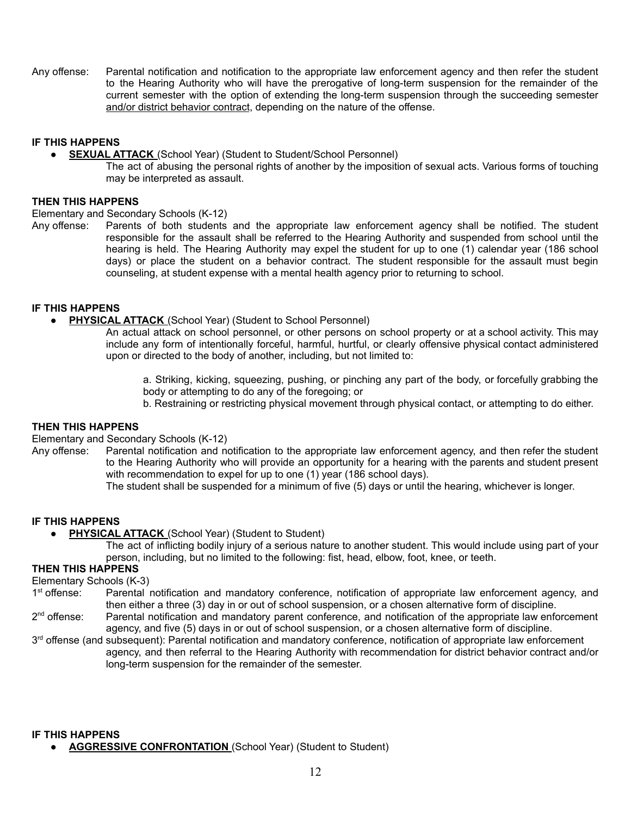Any offense: Parental notification and notification to the appropriate law enforcement agency and then refer the student to the Hearing Authority who will have the prerogative of long-term suspension for the remainder of the current semester with the option of extending the long-term suspension through the succeeding semester and/or district behavior contract, depending on the nature of the offense.

#### **IF THIS HAPPENS**

- **SEXUAL ATTACK** (School Year) (Student to Student/School Personnel)
	- The act of abusing the personal rights of another by the imposition of sexual acts. Various forms of touching may be interpreted as assault.

#### **THEN THIS HAPPENS**

Elementary and Secondary Schools (K-12)

Any offense: Parents of both students and the appropriate law enforcement agency shall be notified. The student responsible for the assault shall be referred to the Hearing Authority and suspended from school until the hearing is held. The Hearing Authority may expel the student for up to one (1) calendar year (186 school days) or place the student on a behavior contract. The student responsible for the assault must begin counseling, at student expense with a mental health agency prior to returning to school.

# **IF THIS HAPPENS**

- **PHYSICAL ATTACK** (School Year) (Student to School Personnel)
	- An actual attack on school personnel, or other persons on school property or at a school activity. This may include any form of intentionally forceful, harmful, hurtful, or clearly offensive physical contact administered upon or directed to the body of another, including, but not limited to:

 a. Striking, kicking, squeezing, pushing, or pinching any part of the body, or forcefully grabbing the body or attempting to do any of the foregoing; or

b. Restraining or restricting physical movement through physical contact, or attempting to do either.

#### **THEN THIS HAPPENS**

Elementary and Secondary Schools (K-12)

Any offense: Parental notification and notification to the appropriate law enforcement agency, and then refer the student to the Hearing Authority who will provide an opportunity for a hearing with the parents and student present with recommendation to expel for up to one (1) year (186 school days).

The student shall be suspended for a minimum of five (5) days or until the hearing, whichever is longer.

#### **IF THIS HAPPENS**

- **PHYSICAL ATTACK** (School Year) (Student to Student)
	- The act of inflicting bodily injury of a serious nature to another student. This would include using part of your person, including, but no limited to the following: fist, head, elbow, foot, knee, or teeth.

# **THEN THIS HAPPENS**

Elementary Schools (K-3)

 $1<sup>st</sup>$  offense: Parental notification and mandatory conference, notification of appropriate law enforcement agency, and then either a three (3) day in or out of school suspension, or a chosen alternative form of discipline.

 $2<sup>nd</sup>$  offense: Parental notification and mandatory parent conference, and notification of the appropriate law enforcement agency, and five (5) days in or out of school suspension, or a chosen alternative form of discipline.

3<sup>rd</sup> offense (and subsequent): Parental notification and mandatory conference, notification of appropriate law enforcement agency, and then referral to the Hearing Authority with recommendation for district behavior contract and/or long-term suspension for the remainder of the semester.

**IF THIS HAPPENS**

**• AGGRESSIVE CONFRONTATION** (School Year) (Student to Student)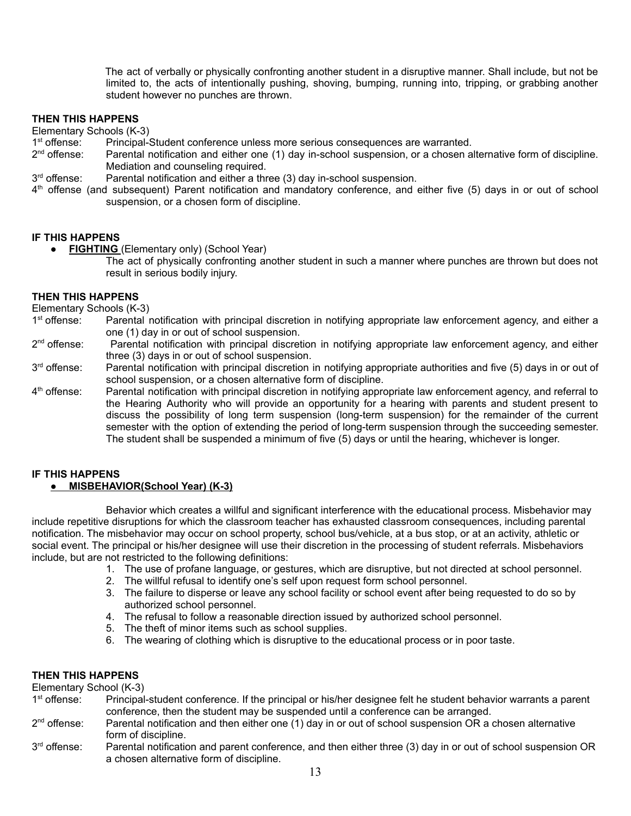The act of verbally or physically confronting another student in a disruptive manner. Shall include, but not be limited to, the acts of intentionally pushing, shoving, bumping, running into, tripping, or grabbing another student however no punches are thrown.

# **THEN THIS HAPPENS**

Elementary Schools (K-3)

- $1<sup>st</sup>$  offense: Principal-Student conference unless more serious consequences are warranted.
- 2<sup>nd</sup> offense: Parental notification and either one (1) day in-school suspension, or a chosen alternative form of discipline. Mediation and counseling required.
- 3<sup>rd</sup> offense: Parental notification and either a three (3) day in-school suspension.
- 4<sup>th</sup> offense (and subsequent) Parent notification and mandatory conference, and either five (5) days in or out of school suspension, or a chosen form of discipline.

#### **IF THIS HAPPENS**

- **FIGHTING** (Elementary only) (School Year)
	- The act of physically confronting another student in such a manner where punches are thrown but does not result in serious bodily injury.

#### **THEN THIS HAPPENS**

Elementary Schools (K-3)

- $1<sup>st</sup>$  offense: Parental notification with principal discretion in notifying appropriate law enforcement agency, and either a one (1) day in or out of school suspension.
- $2<sup>nd</sup>$  offense: Parental notification with principal discretion in notifying appropriate law enforcement agency, and either three (3) days in or out of school suspension.
- 3<sup>rd</sup> offense: Parental notification with principal discretion in notifying appropriate authorities and five (5) days in or out of school suspension, or a chosen alternative form of discipline.
- $4<sup>th</sup>$  offense: Parental notification with principal discretion in notifying appropriate law enforcement agency, and referral to the Hearing Authority who will provide an opportunity for a hearing with parents and student present to discuss the possibility of long term suspension (long-term suspension) for the remainder of the current semester with the option of extending the period of long-term suspension through the succeeding semester. The student shall be suspended a minimum of five (5) days or until the hearing, whichever is longer.

# **IF THIS HAPPENS**

#### ● **MISBEHAVIOR(School Year) (K-3)**

Behavior which creates a willful and significant interference with the educational process. Misbehavior may include repetitive disruptions for which the classroom teacher has exhausted classroom consequences, including parental notification. The misbehavior may occur on school property, school bus/vehicle, at a bus stop, or at an activity, athletic or social event. The principal or his/her designee will use their discretion in the processing of student referrals. Misbehaviors include, but are not restricted to the following definitions:

- 1. The use of profane language, or gestures, which are disruptive, but not directed at school personnel.
- 2. The willful refusal to identify one's self upon request form school personnel.
- 3. The failure to disperse or leave any school facility or school event after being requested to do so by authorized school personnel.
- 4. The refusal to follow a reasonable direction issued by authorized school personnel.
- 5. The theft of minor items such as school supplies.
- 6. The wearing of clothing which is disruptive to the educational process or in poor taste.

# **THEN THIS HAPPENS**

Elementary School (K-3)

| 1 <sup>st</sup> offense: | Principal-student conference. If the principal or his/her designee felt he student behavior warrants a parent |
|--------------------------|---------------------------------------------------------------------------------------------------------------|
|                          | conference, then the student may be suspended until a conference can be arranged.                             |
|                          |                                                                                                               |

- $2<sup>nd</sup>$  offense: Parental notification and then either one (1) day in or out of school suspension OR a chosen alternative form of discipline.
- $3<sup>rd</sup>$  offense: Parental notification and parent conference, and then either three (3) day in or out of school suspension OR a chosen alternative form of discipline.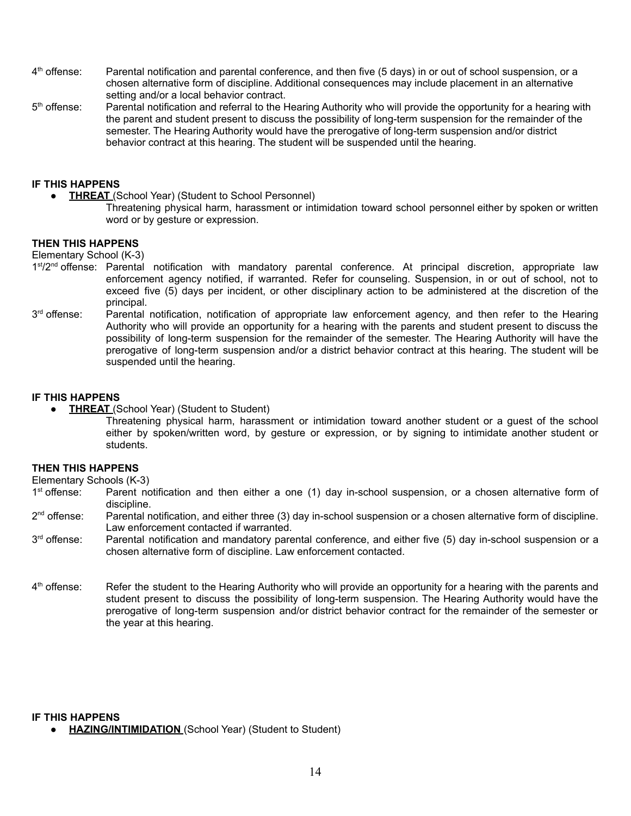- $4<sup>th</sup>$  offense: Parental notification and parental conference, and then five (5 days) in or out of school suspension, or a chosen alternative form of discipline. Additional consequences may include placement in an alternative setting and/or a local behavior contract.
- $5<sup>th</sup>$  offense: Parental notification and referral to the Hearing Authority who will provide the opportunity for a hearing with the parent and student present to discuss the possibility of long-term suspension for the remainder of the semester. The Hearing Authority would have the prerogative of long-term suspension and/or district behavior contract at this hearing. The student will be suspended until the hearing.

# **IF THIS HAPPENS**

- **THREAT** (School Year) (Student to School Personnel)
	- Threatening physical harm, harassment or intimidation toward school personnel either by spoken or written word or by gesture or expression.

#### **THEN THIS HAPPENS**

Elementary School (K-3)

- 1<sup>st</sup>/2<sup>nd</sup> offense: Parental notification with mandatory parental conference. At principal discretion, appropriate law enforcement agency notified, if warranted. Refer for counseling. Suspension, in or out of school, not to exceed five (5) days per incident, or other disciplinary action to be administered at the discretion of the principal.
- 3<sup>rd</sup> offense: Parental notification, notification of appropriate law enforcement agency, and then refer to the Hearing Authority who will provide an opportunity for a hearing with the parents and student present to discuss the possibility of long-term suspension for the remainder of the semester. The Hearing Authority will have the prerogative of long-term suspension and/or a district behavior contract at this hearing. The student will be suspended until the hearing.

#### **IF THIS HAPPENS**

- **THREAT** (School Year) (Student to Student)
	- Threatening physical harm, harassment or intimidation toward another student or a guest of the school either by spoken/written word, by gesture or expression, or by signing to intimidate another student or students.

#### **THEN THIS HAPPENS**

Elementary Schools (K-3)

- 1<sup>st</sup> offense: Parent notification and then either a one (1) day in-school suspension, or a chosen alternative form of discipline.
- 2<sup>nd</sup> offense: Parental notification, and either three (3) day in-school suspension or a chosen alternative form of discipline. Law enforcement contacted if warranted.
- 3<sup>rd</sup> offense: Parental notification and mandatory parental conference, and either five (5) day in-school suspension or a chosen alternative form of discipline. Law enforcement contacted.
- $4<sup>th</sup>$  offense: Refer the student to the Hearing Authority who will provide an opportunity for a hearing with the parents and student present to discuss the possibility of long-term suspension. The Hearing Authority would have the prerogative of long-term suspension and/or district behavior contract for the remainder of the semester or the year at this hearing.

#### **IF THIS HAPPENS**

● **HAZING/INTIMIDATION** (School Year) (Student to Student)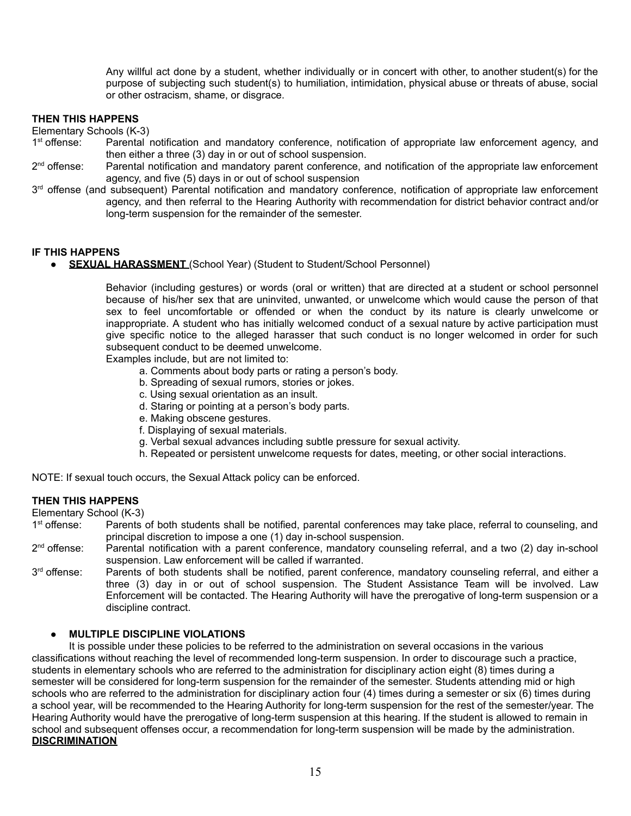Any willful act done by a student, whether individually or in concert with other, to another student(s) for the purpose of subjecting such student(s) to humiliation, intimidation, physical abuse or threats of abuse, social or other ostracism, shame, or disgrace.

# **THEN THIS HAPPENS**

Elementary Schools (K-3)

- $1<sup>st</sup>$  offense: Parental notification and mandatory conference, notification of appropriate law enforcement agency, and then either a three (3) day in or out of school suspension.
- $2<sup>nd</sup>$  offense: Parental notification and mandatory parent conference, and notification of the appropriate law enforcement agency, and five (5) days in or out of school suspension
- 3<sup>rd</sup> offense (and subsequent) Parental notification and mandatory conference, notification of appropriate law enforcement agency, and then referral to the Hearing Authority with recommendation for district behavior contract and/or long-term suspension for the remainder of the semester.

#### **IF THIS HAPPENS**

**SEXUAL HARASSMENT** (School Year) (Student to Student/School Personnel)

Behavior (including gestures) or words (oral or written) that are directed at a student or school personnel because of his/her sex that are uninvited, unwanted, or unwelcome which would cause the person of that sex to feel uncomfortable or offended or when the conduct by its nature is clearly unwelcome or inappropriate. A student who has initially welcomed conduct of a sexual nature by active participation must give specific notice to the alleged harasser that such conduct is no longer welcomed in order for such subsequent conduct to be deemed unwelcome.

Examples include, but are not limited to:

- a. Comments about body parts or rating a person's body.
- b. Spreading of sexual rumors, stories or jokes.
- c. Using sexual orientation as an insult.
- d. Staring or pointing at a person's body parts.
- e. Making obscene gestures.
- f. Displaying of sexual materials.
- g. Verbal sexual advances including subtle pressure for sexual activity.
- h. Repeated or persistent unwelcome requests for dates, meeting, or other social interactions.

NOTE: If sexual touch occurs, the Sexual Attack policy can be enforced.

# **THEN THIS HAPPENS**

Elementary School (K-3)

- $1<sup>st</sup>$  offense: Parents of both students shall be notified, parental conferences may take place, referral to counseling, and principal discretion to impose a one (1) day in-school suspension.
- 2<sup>nd</sup> offense: Parental notification with a parent conference, mandatory counseling referral, and a two (2) day in-school suspension. Law enforcement will be called if warranted.
- 3<sup>rd</sup> offense: Parents of both students shall be notified, parent conference, mandatory counseling referral, and either a three (3) day in or out of school suspension. The Student Assistance Team will be involved. Law Enforcement will be contacted. The Hearing Authority will have the prerogative of long-term suspension or a discipline contract.

# **MULTIPLE DISCIPLINE VIOLATIONS**

It is possible under these policies to be referred to the administration on several occasions in the various classifications without reaching the level of recommended long-term suspension. In order to discourage such a practice, students in elementary schools who are referred to the administration for disciplinary action eight (8) times during a semester will be considered for long-term suspension for the remainder of the semester. Students attending mid or high schools who are referred to the administration for disciplinary action four (4) times during a semester or six (6) times during a school year, will be recommended to the Hearing Authority for long-term suspension for the rest of the semester/year. The Hearing Authority would have the prerogative of long-term suspension at this hearing. If the student is allowed to remain in school and subsequent offenses occur, a recommendation for long-term suspension will be made by the administration. **DISCRIMINATION**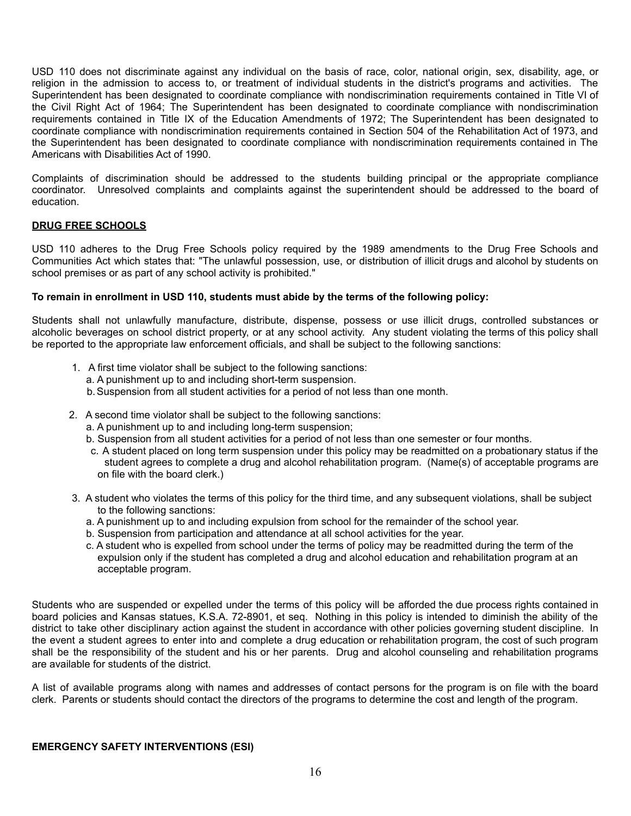USD 110 does not discriminate against any individual on the basis of race, color, national origin, sex, disability, age, or religion in the admission to access to, or treatment of individual students in the district's programs and activities. The Superintendent has been designated to coordinate compliance with nondiscrimination requirements contained in Title VI of the Civil Right Act of 1964; The Superintendent has been designated to coordinate compliance with nondiscrimination requirements contained in Title IX of the Education Amendments of 1972; The Superintendent has been designated to coordinate compliance with nondiscrimination requirements contained in Section 504 of the Rehabilitation Act of 1973, and the Superintendent has been designated to coordinate compliance with nondiscrimination requirements contained in The Americans with Disabilities Act of 1990.

Complaints of discrimination should be addressed to the students building principal or the appropriate compliance coordinator. Unresolved complaints and complaints against the superintendent should be addressed to the board of education.

# **DRUG FREE SCHOOLS**

USD 110 adheres to the Drug Free Schools policy required by the 1989 amendments to the Drug Free Schools and Communities Act which states that: "The unlawful possession, use, or distribution of illicit drugs and alcohol by students on school premises or as part of any school activity is prohibited."

#### **To remain in enrollment in USD 110, students must abide by the terms of the following policy:**

Students shall not unlawfully manufacture, distribute, dispense, possess or use illicit drugs, controlled substances or alcoholic beverages on school district property, or at any school activity. Any student violating the terms of this policy shall be reported to the appropriate law enforcement officials, and shall be subject to the following sanctions:

- 1. A first time violator shall be subject to the following sanctions:
	- a. A punishment up to and including short-term suspension.
	- b.Suspension from all student activities for a period of not less than one month.
- 2. A second time violator shall be subject to the following sanctions:
	- a. A punishment up to and including long-term suspension;
	- b. Suspension from all student activities for a period of not less than one semester or four months.
	- c. A student placed on long term suspension under this policy may be readmitted on a probationary status if the student agrees to complete a drug and alcohol rehabilitation program. (Name(s) of acceptable programs are on file with the board clerk.)
- 3. A student who violates the terms of this policy for the third time, and any subsequent violations, shall be subject to the following sanctions:
	- a. A punishment up to and including expulsion from school for the remainder of the school year.
	- b. Suspension from participation and attendance at all school activities for the year.
	- c. A student who is expelled from school under the terms of policy may be readmitted during the term of the expulsion only if the student has completed a drug and alcohol education and rehabilitation program at an acceptable program.

Students who are suspended or expelled under the terms of this policy will be afforded the due process rights contained in board policies and Kansas statues, K.S.A. 72-8901, et seq. Nothing in this policy is intended to diminish the ability of the district to take other disciplinary action against the student in accordance with other policies governing student discipline. In the event a student agrees to enter into and complete a drug education or rehabilitation program, the cost of such program shall be the responsibility of the student and his or her parents. Drug and alcohol counseling and rehabilitation programs are available for students of the district.

A list of available programs along with names and addresses of contact persons for the program is on file with the board clerk. Parents or students should contact the directors of the programs to determine the cost and length of the program.

#### **EMERGENCY SAFETY INTERVENTIONS (ESI)**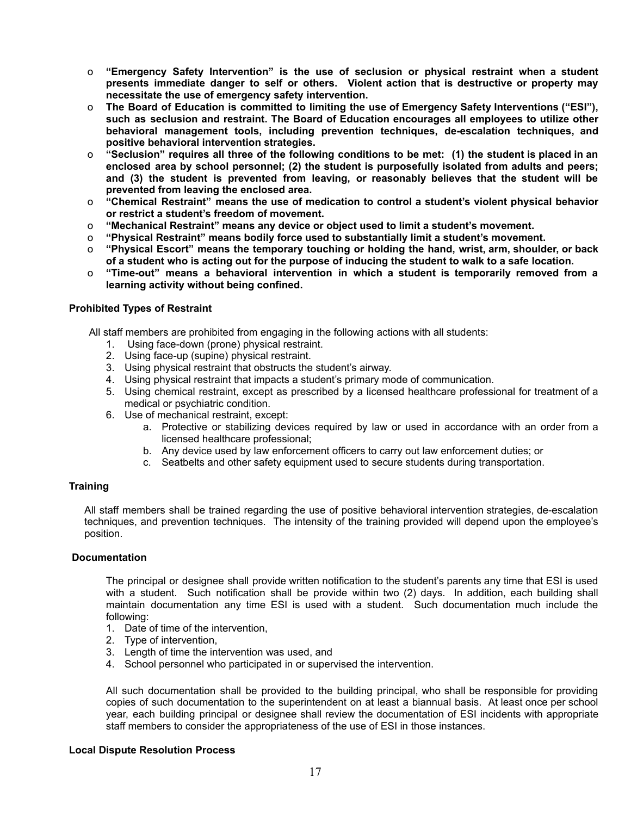- o **"Emergency Safety Intervention" is the use of seclusion or physical restraint when a student presents immediate danger to self or others. Violent action that is destructive or property may necessitate the use of emergency safety intervention.**
- o **The Board of Education is committed to limiting the use of Emergency Safety Interventions ("ESI"), such as seclusion and restraint. The Board of Education encourages all employees to utilize other behavioral management tools, including prevention techniques, de-escalation techniques, and positive behavioral intervention strategies.**
- o **"Seclusion" requires all three of the following conditions to be met: (1) the student is placed in an enclosed area by school personnel; (2) the student is purposefully isolated from adults and peers; and (3) the student is prevented from leaving, or reasonably believes that the student will be prevented from leaving the enclosed area.**
- o **"Chemical Restraint" means the use of medication to control a student's violent physical behavior or restrict a student's freedom of movement.**
- o **"Mechanical Restraint" means any device or object used to limit a student's movement.**
- o **"Physical Restraint" means bodily force used to substantially limit a student's movement.**
- o **"Physical Escort" means the temporary touching or holding the hand, wrist, arm, shoulder, or back of a student who is acting out for the purpose of inducing the student to walk to a safe location.**
- o **"Time-out" means a behavioral intervention in which a student is temporarily removed from a learning activity without being confined.**

#### **Prohibited Types of Restraint**

All staff members are prohibited from engaging in the following actions with all students:

- 1. Using face-down (prone) physical restraint.
- 2. Using face-up (supine) physical restraint.
- 3. Using physical restraint that obstructs the student's airway.
- 4. Using physical restraint that impacts a student's primary mode of communication.
- 5. Using chemical restraint, except as prescribed by a licensed healthcare professional for treatment of a medical or psychiatric condition.
- 6. Use of mechanical restraint, except:
	- a. Protective or stabilizing devices required by law or used in accordance with an order from a licensed healthcare professional;
	- b. Any device used by law enforcement officers to carry out law enforcement duties; or
	- c. Seatbelts and other safety equipment used to secure students during transportation.

#### **Training**

All staff members shall be trained regarding the use of positive behavioral intervention strategies, de-escalation techniques, and prevention techniques. The intensity of the training provided will depend upon the employee's position.

#### **Documentation**

The principal or designee shall provide written notification to the student's parents any time that ESI is used with a student. Such notification shall be provide within two (2) days. In addition, each building shall maintain documentation any time ESI is used with a student. Such documentation much include the following:

- 1. Date of time of the intervention,
- 2. Type of intervention,
- 3. Length of time the intervention was used, and
- 4. School personnel who participated in or supervised the intervention.

All such documentation shall be provided to the building principal, who shall be responsible for providing copies of such documentation to the superintendent on at least a biannual basis. At least once per school year, each building principal or designee shall review the documentation of ESI incidents with appropriate staff members to consider the appropriateness of the use of ESI in those instances.

#### **Local Dispute Resolution Process**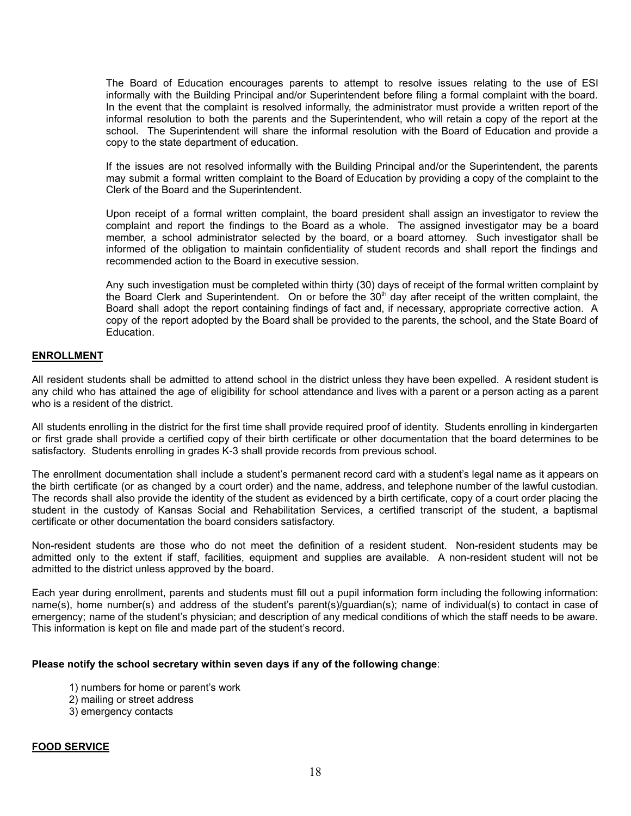The Board of Education encourages parents to attempt to resolve issues relating to the use of ESI informally with the Building Principal and/or Superintendent before filing a formal complaint with the board. In the event that the complaint is resolved informally, the administrator must provide a written report of the informal resolution to both the parents and the Superintendent, who will retain a copy of the report at the school. The Superintendent will share the informal resolution with the Board of Education and provide a copy to the state department of education.

If the issues are not resolved informally with the Building Principal and/or the Superintendent, the parents may submit a formal written complaint to the Board of Education by providing a copy of the complaint to the Clerk of the Board and the Superintendent.

Upon receipt of a formal written complaint, the board president shall assign an investigator to review the complaint and report the findings to the Board as a whole. The assigned investigator may be a board member, a school administrator selected by the board, or a board attorney. Such investigator shall be informed of the obligation to maintain confidentiality of student records and shall report the findings and recommended action to the Board in executive session.

Any such investigation must be completed within thirty (30) days of receipt of the formal written complaint by the Board Clerk and Superintendent. On or before the 30<sup>th</sup> day after receipt of the written complaint, the Board shall adopt the report containing findings of fact and, if necessary, appropriate corrective action. A copy of the report adopted by the Board shall be provided to the parents, the school, and the State Board of Education.

#### **ENROLLMENT**

All resident students shall be admitted to attend school in the district unless they have been expelled. A resident student is any child who has attained the age of eligibility for school attendance and lives with a parent or a person acting as a parent who is a resident of the district.

All students enrolling in the district for the first time shall provide required proof of identity. Students enrolling in kindergarten or first grade shall provide a certified copy of their birth certificate or other documentation that the board determines to be satisfactory. Students enrolling in grades K-3 shall provide records from previous school.

The enrollment documentation shall include a student's permanent record card with a student's legal name as it appears on the birth certificate (or as changed by a court order) and the name, address, and telephone number of the lawful custodian. The records shall also provide the identity of the student as evidenced by a birth certificate, copy of a court order placing the student in the custody of Kansas Social and Rehabilitation Services, a certified transcript of the student, a baptismal certificate or other documentation the board considers satisfactory.

Non-resident students are those who do not meet the definition of a resident student. Non-resident students may be admitted only to the extent if staff, facilities, equipment and supplies are available. A non-resident student will not be admitted to the district unless approved by the board.

Each year during enrollment, parents and students must fill out a pupil information form including the following information: name(s), home number(s) and address of the student's parent(s)/guardian(s); name of individual(s) to contact in case of emergency; name of the student's physician; and description of any medical conditions of which the staff needs to be aware. This information is kept on file and made part of the student's record.

#### **Please notify the school secretary within seven days if any of the following change**:

- 1) numbers for home or parent's work
- 2) mailing or street address
- 3) emergency contacts

#### **FOOD SERVICE**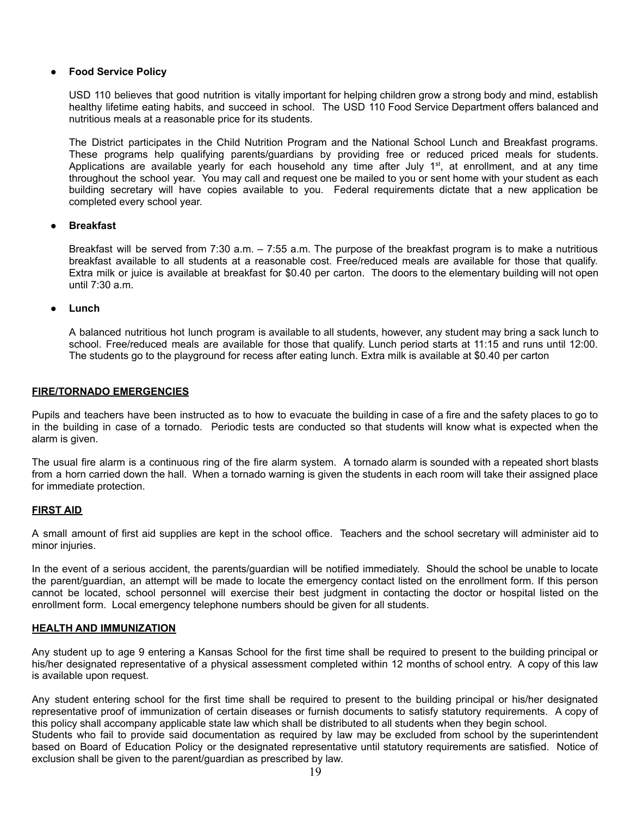# **Food Service Policy**

USD 110 believes that good nutrition is vitally important for helping children grow a strong body and mind, establish healthy lifetime eating habits, and succeed in school. The USD 110 Food Service Department offers balanced and nutritious meals at a reasonable price for its students.

The District participates in the Child Nutrition Program and the National School Lunch and Breakfast programs. These programs help qualifying parents/guardians by providing free or reduced priced meals for students. Applications are available yearly for each household any time after July  $1<sup>st</sup>$ , at enrollment, and at any time throughout the school year. You may call and request one be mailed to you or sent home with your student as each building secretary will have copies available to you. Federal requirements dictate that a new application be completed every school year.

#### **Breakfast**

Breakfast will be served from 7:30 a.m. – 7:55 a.m. The purpose of the breakfast program is to make a nutritious breakfast available to all students at a reasonable cost. Free/reduced meals are available for those that qualify. Extra milk or juice is available at breakfast for \$0.40 per carton. The doors to the elementary building will not open until 7:30 a.m.

● **Lunch**

A balanced nutritious hot lunch program is available to all students, however, any student may bring a sack lunch to school. Free/reduced meals are available for those that qualify. Lunch period starts at 11:15 and runs until 12:00. The students go to the playground for recess after eating lunch. Extra milk is available at \$0.40 per carton

#### **FIRE/TORNADO EMERGENCIES**

Pupils and teachers have been instructed as to how to evacuate the building in case of a fire and the safety places to go to in the building in case of a tornado. Periodic tests are conducted so that students will know what is expected when the alarm is given.

The usual fire alarm is a continuous ring of the fire alarm system. A tornado alarm is sounded with a repeated short blasts from a horn carried down the hall. When a tornado warning is given the students in each room will take their assigned place for immediate protection.

#### **FIRST AID**

A small amount of first aid supplies are kept in the school office. Teachers and the school secretary will administer aid to minor injuries.

In the event of a serious accident, the parents/guardian will be notified immediately. Should the school be unable to locate the parent/guardian, an attempt will be made to locate the emergency contact listed on the enrollment form. If this person cannot be located, school personnel will exercise their best judgment in contacting the doctor or hospital listed on the enrollment form. Local emergency telephone numbers should be given for all students.

#### **HEALTH AND IMMUNIZATION**

Any student up to age 9 entering a Kansas School for the first time shall be required to present to the building principal or his/her designated representative of a physical assessment completed within 12 months of school entry. A copy of this law is available upon request.

Any student entering school for the first time shall be required to present to the building principal or his/her designated representative proof of immunization of certain diseases or furnish documents to satisfy statutory requirements. A copy of this policy shall accompany applicable state law which shall be distributed to all students when they begin school.

Students who fail to provide said documentation as required by law may be excluded from school by the superintendent based on Board of Education Policy or the designated representative until statutory requirements are satisfied. Notice of exclusion shall be given to the parent/guardian as prescribed by law.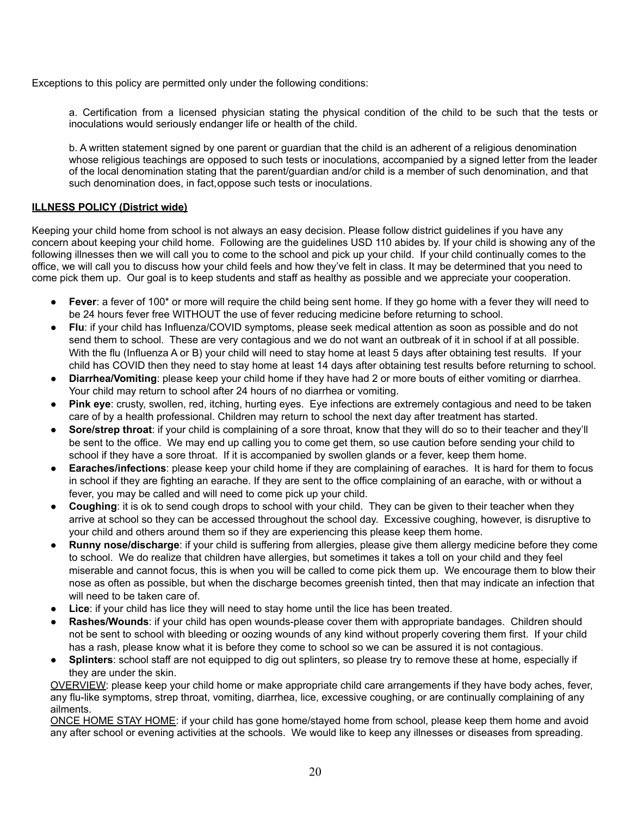Exceptions to this policy are permitted only under the following conditions:

a. Certification from a licensed physician stating the physical condition of the child to be such that the tests or inoculations would seriously endanger life or health of the child.

b. A written statement signed by one parent or guardian that the child is an adherent of a religious denomination whose religious teachings are opposed to such tests or inoculations, accompanied by a signed letter from the leader of the local denomination stating that the parent/guardian and/or child is a member of such denomination, and that such denomination does, in fact,oppose such tests or inoculations.

# **ILLNESS POLICY (District wide)**

Keeping your child home from school is not always an easy decision. Please follow district guidelines if you have any concern about keeping your child home. Following are the guidelines USD 110 abides by. If your child is showing any of the following illnesses then we will call you to come to the school and pick up your child. If your child continually comes to the office, we will call you to discuss how your child feels and how they've felt in class. It may be determined that you need to come pick them up. Our goal is to keep students and staff as healthy as possible and we appreciate your cooperation.

- **Fever**: a fever of 100<sup>\*</sup> or more will require the child being sent home. If they go home with a fever they will need to be 24 hours fever free WITHOUT the use of fever reducing medicine before returning to school.
- **Flu**: if your child has Influenza/COVID symptoms, please seek medical attention as soon as possible and do not send them to school. These are very contagious and we do not want an outbreak of it in school if at all possible. With the flu (Influenza A or B) your child will need to stay home at least 5 days after obtaining test results. If your child has COVID then they need to stay home at least 14 days after obtaining test results before returning to school.
- **Diarrhea/Vomiting**: please keep your child home if they have had 2 or more bouts of either vomiting or diarrhea. Your child may return to school after 24 hours of no diarrhea or vomiting.
- **Pink eye**: crusty, swollen, red, itching, hurting eyes. Eye infections are extremely contagious and need to be taken care of by a health professional. Children may return to school the next day after treatment has started.
- **Sore/strep throat:** if your child is complaining of a sore throat, know that they will do so to their teacher and they'll be sent to the office. We may end up calling you to come get them, so use caution before sending your child to school if they have a sore throat. If it is accompanied by swollen glands or a fever, keep them home.
- **Earaches/infections**: please keep your child home if they are complaining of earaches. It is hard for them to focus in school if they are fighting an earache. If they are sent to the office complaining of an earache, with or without a fever, you may be called and will need to come pick up your child.
- **Coughing**: it is ok to send cough drops to school with your child. They can be given to their teacher when they arrive at school so they can be accessed throughout the school day. Excessive coughing, however, is disruptive to your child and others around them so if they are experiencing this please keep them home.
- **Runny nose/discharge**: if your child is suffering from allergies, please give them allergy medicine before they come to school. We do realize that children have allergies, but sometimes it takes a toll on your child and they feel miserable and cannot focus, this is when you will be called to come pick them up. We encourage them to blow their nose as often as possible, but when the discharge becomes greenish tinted, then that may indicate an infection that will need to be taken care of.
- **Lice**: if your child has lice they will need to stay home until the lice has been treated.
- **Rashes/Wounds:** if your child has open wounds-please cover them with appropriate bandages. Children should not be sent to school with bleeding or oozing wounds of any kind without properly covering them first. If your child has a rash, please know what it is before they come to school so we can be assured it is not contagious.
- **Splinters**: school staff are not equipped to dig out splinters, so please try to remove these at home, especially if they are under the skin.

OVERVIEW: please keep your child home or make appropriate child care arrangements if they have body aches, fever, any flu-like symptoms, strep throat, vomiting, diarrhea, lice, excessive coughing, or are continually complaining of any ailments.

ONCE HOME STAY HOME: if your child has gone home/stayed home from school, please keep them home and avoid any after school or evening activities at the schools. We would like to keep any illnesses or diseases from spreading.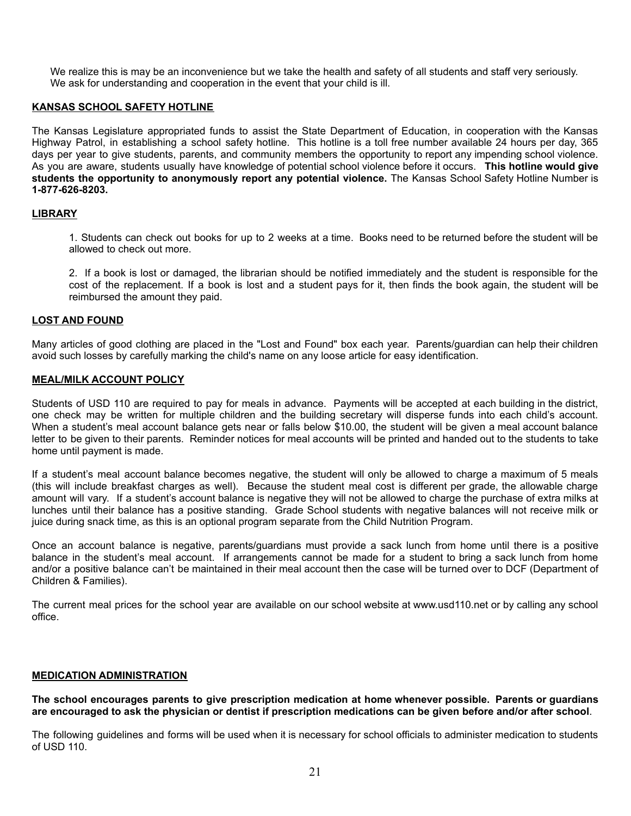We realize this is may be an inconvenience but we take the health and safety of all students and staff very seriously. We ask for understanding and cooperation in the event that your child is ill.

# **KANSAS SCHOOL SAFETY HOTLINE**

The Kansas Legislature appropriated funds to assist the State Department of Education, in cooperation with the Kansas Highway Patrol, in establishing a school safety hotline. This hotline is a toll free number available 24 hours per day, 365 days per year to give students, parents, and community members the opportunity to report any impending school violence. As you are aware, students usually have knowledge of potential school violence before it occurs. **This hotline would give students the opportunity to anonymously report any potential violence.** The Kansas School Safety Hotline Number is **1-877-626-8203.**

#### **LIBRARY**

1. Students can check out books for up to 2 weeks at a time. Books need to be returned before the student will be allowed to check out more.

2. If a book is lost or damaged, the librarian should be notified immediately and the student is responsible for the cost of the replacement. If a book is lost and a student pays for it, then finds the book again, the student will be reimbursed the amount they paid.

#### **LOST AND FOUND**

Many articles of good clothing are placed in the "Lost and Found" box each year. Parents/guardian can help their children avoid such losses by carefully marking the child's name on any loose article for easy identification.

# **MEAL/MILK ACCOUNT POLICY**

Students of USD 110 are required to pay for meals in advance. Payments will be accepted at each building in the district, one check may be written for multiple children and the building secretary will disperse funds into each child's account. When a student's meal account balance gets near or falls below \$10.00, the student will be given a meal account balance letter to be given to their parents. Reminder notices for meal accounts will be printed and handed out to the students to take home until payment is made.

If a student's meal account balance becomes negative, the student will only be allowed to charge a maximum of 5 meals (this will include breakfast charges as well). Because the student meal cost is different per grade, the allowable charge amount will vary. If a student's account balance is negative they will not be allowed to charge the purchase of extra milks at lunches until their balance has a positive standing. Grade School students with negative balances will not receive milk or juice during snack time, as this is an optional program separate from the Child Nutrition Program.

Once an account balance is negative, parents/guardians must provide a sack lunch from home until there is a positive balance in the student's meal account. If arrangements cannot be made for a student to bring a sack lunch from home and/or a positive balance can't be maintained in their meal account then the case will be turned over to DCF (Department of Children & Families).

The current meal prices for the school year are available on our school website at www.usd110.net or by calling any school office.

#### **MEDICATION ADMINISTRATION**

**The school encourages parents to give prescription medication at home whenever possible. Parents or guardians are encouraged to ask the physician or dentist if prescription medications can be given before and/or after school**.

The following guidelines and forms will be used when it is necessary for school officials to administer medication to students of USD 110.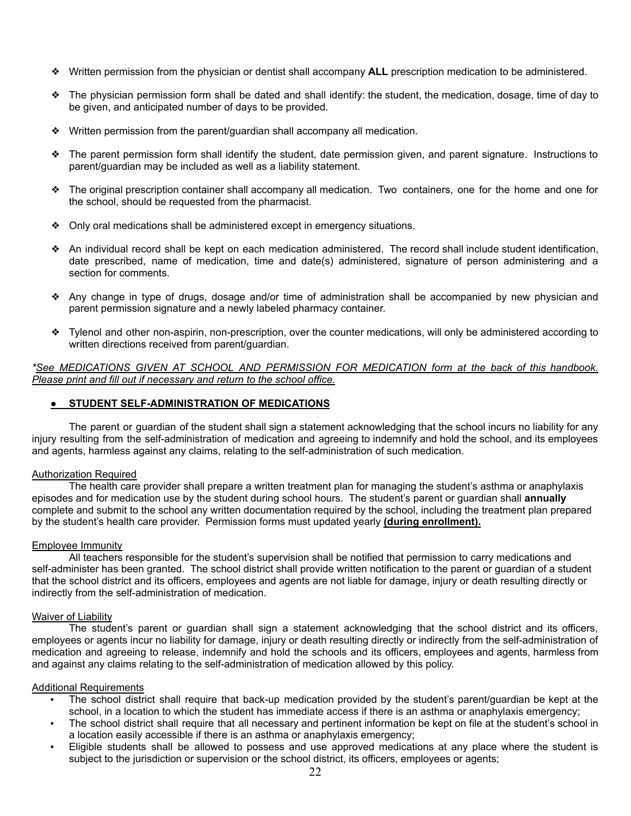- ❖ Written permission from the physician or dentist shall accompany **ALL** prescription medication to be administered.
- ❖ The physician permission form shall be dated and shall identify: the student, the medication, dosage, time of day to be given, and anticipated number of days to be provided.
- ❖ Written permission from the parent/guardian shall accompany all medication.
- ❖ The parent permission form shall identify the student, date permission given, and parent signature. Instructions to parent/guardian may be included as well as a liability statement.
- ❖ The original prescription container shall accompany all medication. Two containers, one for the home and one for the school, should be requested from the pharmacist.
- ❖ Only oral medications shall be administered except in emergency situations.
- ❖ An individual record shall be kept on each medication administered. The record shall include student identification, date prescribed, name of medication, time and date(s) administered, signature of person administering and a section for comments.
- ❖ Any change in type of drugs, dosage and/or time of administration shall be accompanied by new physician and parent permission signature and a newly labeled pharmacy container.
- ❖ Tylenol and other non-aspirin, non-prescription, over the counter medications, will only be administered according to written directions received from parent/guardian.

*\*See MEDICATIONS GIVEN AT SCHOOL AND PERMISSION FOR MEDICATION form at the back of this handbook. Please print and fill out if necessary and return to the school office.*

#### ● **STUDENT SELF-ADMINISTRATION OF MEDICATIONS**

The parent or guardian of the student shall sign a statement acknowledging that the school incurs no liability for any injury resulting from the self-administration of medication and agreeing to indemnify and hold the school, and its employees and agents, harmless against any claims, relating to the self-administration of such medication.

#### Authorization Required

The health care provider shall prepare a written treatment plan for managing the student's asthma or anaphylaxis episodes and for medication use by the student during school hours. The student's parent or guardian shall **annually** complete and submit to the school any written documentation required by the school, including the treatment plan prepared by the student's health care provider. Permission forms must updated yearly **(during enrollment).**

#### Employee Immunity

All teachers responsible for the student's supervision shall be notified that permission to carry medications and self-administer has been granted. The school district shall provide written notification to the parent or guardian of a student that the school district and its officers, employees and agents are not liable for damage, injury or death resulting directly or indirectly from the self-administration of medication.

#### **Waiver of Liability**

The student's parent or guardian shall sign a statement acknowledging that the school district and its officers, employees or agents incur no liability for damage, injury or death resulting directly or indirectly from the self-administration of medication and agreeing to release, indemnify and hold the schools and its officers, employees and agents, harmless from and against any claims relating to the self-administration of medication allowed by this policy.

#### Additional Requirements

- The school district shall require that back-up medication provided by the student's parent/guardian be kept at the school, in a location to which the student has immediate access if there is an asthma or anaphylaxis emergency;
- The school district shall require that all necessary and pertinent information be kept on file at the student's school in a location easily accessible if there is an asthma or anaphylaxis emergency;
- Eligible students shall be allowed to possess and use approved medications at any place where the student is subject to the jurisdiction or supervision or the school district, its officers, employees or agents;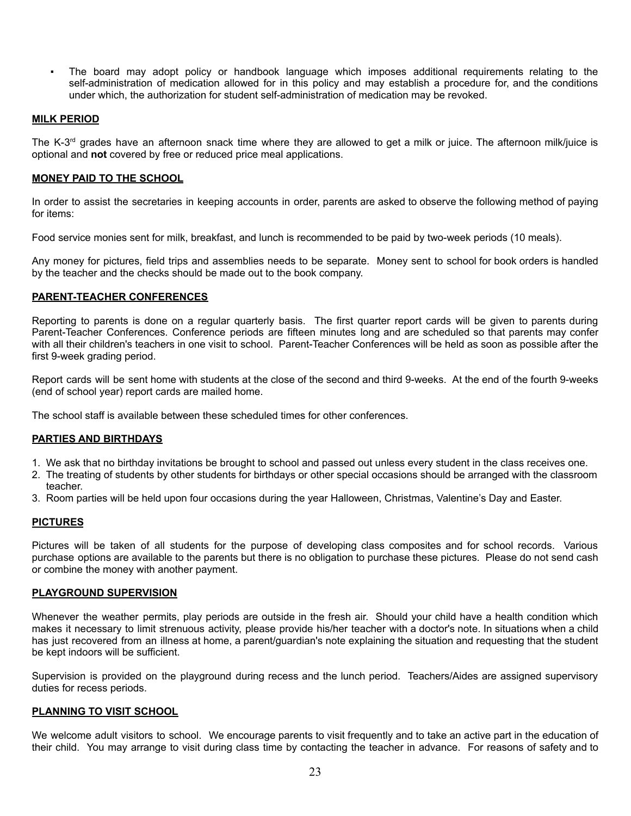The board may adopt policy or handbook language which imposes additional requirements relating to the self-administration of medication allowed for in this policy and may establish a procedure for, and the conditions under which, the authorization for student self-administration of medication may be revoked.

#### **MILK PERIOD**

The K-3<sup>rd</sup> grades have an afternoon snack time where they are allowed to get a milk or juice. The afternoon milk/juice is optional and **not** covered by free or reduced price meal applications.

#### **MONEY PAID TO THE SCHOOL**

In order to assist the secretaries in keeping accounts in order, parents are asked to observe the following method of paying for items:

Food service monies sent for milk, breakfast, and lunch is recommended to be paid by two-week periods (10 meals).

Any money for pictures, field trips and assemblies needs to be separate. Money sent to school for book orders is handled by the teacher and the checks should be made out to the book company.

# **PARENT-TEACHER CONFERENCES**

Reporting to parents is done on a regular quarterly basis. The first quarter report cards will be given to parents during Parent-Teacher Conferences. Conference periods are fifteen minutes long and are scheduled so that parents may confer with all their children's teachers in one visit to school. Parent-Teacher Conferences will be held as soon as possible after the first 9-week grading period.

Report cards will be sent home with students at the close of the second and third 9-weeks. At the end of the fourth 9-weeks (end of school year) report cards are mailed home.

The school staff is available between these scheduled times for other conferences.

# **PARTIES AND BIRTHDAYS**

- 1. We ask that no birthday invitations be brought to school and passed out unless every student in the class receives one.
- 2. The treating of students by other students for birthdays or other special occasions should be arranged with the classroom teacher.
- 3. Room parties will be held upon four occasions during the year Halloween, Christmas, Valentine's Day and Easter.

#### **PICTURES**

Pictures will be taken of all students for the purpose of developing class composites and for school records. Various purchase options are available to the parents but there is no obligation to purchase these pictures. Please do not send cash or combine the money with another payment.

#### **PLAYGROUND SUPERVISION**

Whenever the weather permits, play periods are outside in the fresh air. Should your child have a health condition which makes it necessary to limit strenuous activity, please provide his/her teacher with a doctor's note. In situations when a child has just recovered from an illness at home, a parent/guardian's note explaining the situation and requesting that the student be kept indoors will be sufficient.

Supervision is provided on the playground during recess and the lunch period. Teachers/Aides are assigned supervisory duties for recess periods.

# **PLANNING TO VISIT SCHOOL**

We welcome adult visitors to school. We encourage parents to visit frequently and to take an active part in the education of their child. You may arrange to visit during class time by contacting the teacher in advance. For reasons of safety and to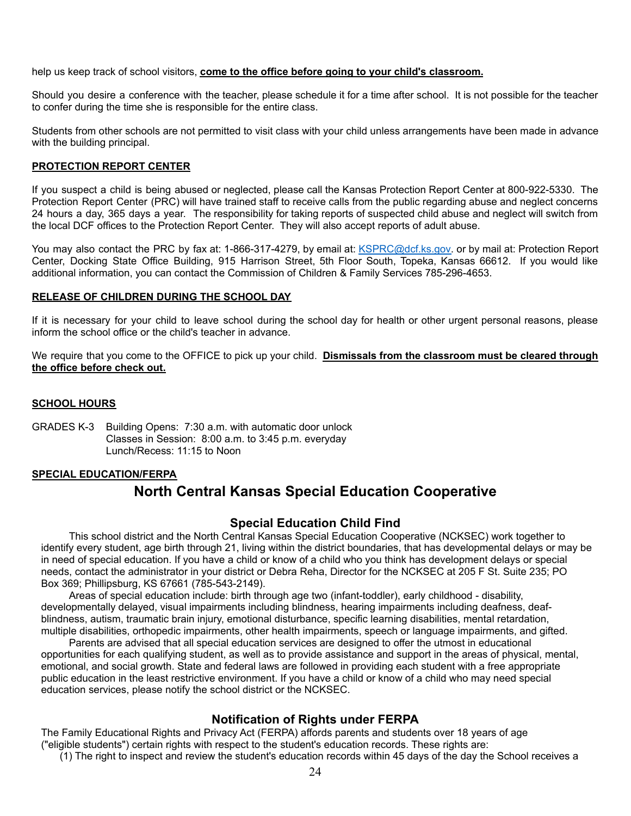help us keep track of school visitors, **come to the office before going to your child's classroom.**

Should you desire a conference with the teacher, please schedule it for a time after school. It is not possible for the teacher to confer during the time she is responsible for the entire class.

Students from other schools are not permitted to visit class with your child unless arrangements have been made in advance with the building principal.

# **PROTECTION REPORT CENTER**

If you suspect a child is being abused or neglected, please call the Kansas Protection Report Center at 800-922-5330. The Protection Report Center (PRC) will have trained staff to receive calls from the public regarding abuse and neglect concerns 24 hours a day, 365 days a year. The responsibility for taking reports of suspected child abuse and neglect will switch from the local DCF offices to the Protection Report Center. They will also accept reports of adult abuse.

You may also contact the PRC by fax at: 1-866-317-4279, by email at: *[KSPRC@dcf.ks.gov.](mailto:KSPRC@dcf.ks.gov)* or by mail at: Protection Report Center, Docking State Office Building, 915 Harrison Street, 5th Floor South, Topeka, Kansas 66612. If you would like additional information, you can contact the Commission of Children & Family Services 785-296-4653.

# **RELEASE OF CHILDREN DURING THE SCHOOL DAY**

If it is necessary for your child to leave school during the school day for health or other urgent personal reasons, please inform the school office or the child's teacher in advance.

We require that you come to the OFFICE to pick up your child. **Dismissals from the classroom must be cleared through the office before check out.**

# **SCHOOL HOURS**

GRADES K-3 Building Opens: 7:30 a.m. with automatic door unlock Classes in Session: 8:00 a.m. to 3:45 p.m. everyday Lunch/Recess: 11:15 to Noon

#### **SPECIAL EDUCATION/FERPA**

# **North Central Kansas Special Education Cooperative**

# **Special Education Child Find**

This school district and the North Central Kansas Special Education Cooperative (NCKSEC) work together to identify every student, age birth through 21, living within the district boundaries, that has developmental delays or may be in need of special education. If you have a child or know of a child who you think has development delays or special needs, contact the administrator in your district or Debra Reha, Director for the NCKSEC at 205 F St. Suite 235; PO Box 369; Phillipsburg, KS 67661 (785-543-2149).

Areas of special education include: birth through age two (infant-toddler), early childhood - disability, developmentally delayed, visual impairments including blindness, hearing impairments including deafness, deafblindness, autism, traumatic brain injury, emotional disturbance, specific learning disabilities, mental retardation, multiple disabilities, orthopedic impairments, other health impairments, speech or language impairments, and gifted.

Parents are advised that all special education services are designed to offer the utmost in educational opportunities for each qualifying student, as well as to provide assistance and support in the areas of physical, mental, emotional, and social growth. State and federal laws are followed in providing each student with a free appropriate public education in the least restrictive environment. If you have a child or know of a child who may need special education services, please notify the school district or the NCKSEC.

# **Notification of Rights under FERPA**

The Family Educational Rights and Privacy Act (FERPA) affords parents and students over 18 years of age ("eligible students") certain rights with respect to the student's education records. These rights are:

(1) The right to inspect and review the student's education records within 45 days of the day the School receives a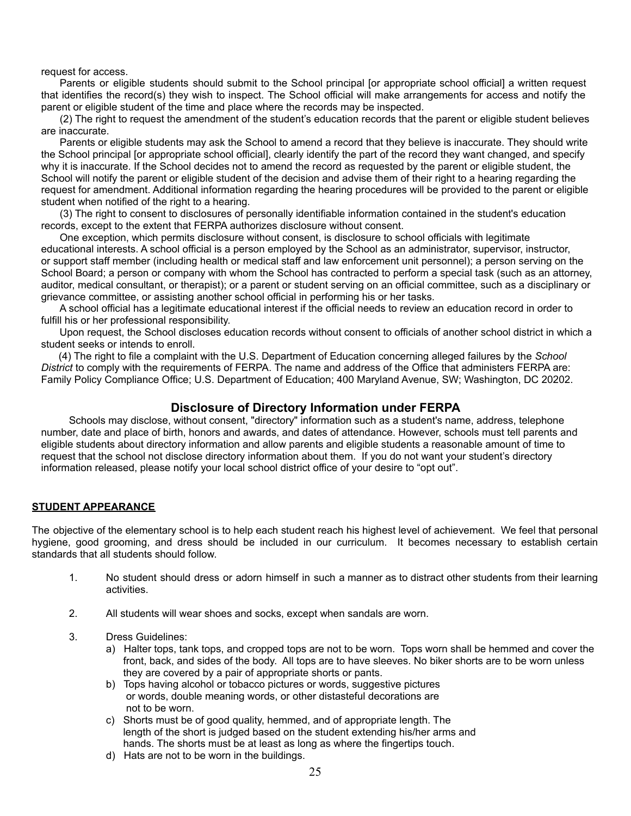request for access.

Parents or eligible students should submit to the School principal [or appropriate school official] a written request that identifies the record(s) they wish to inspect. The School official will make arrangements for access and notify the parent or eligible student of the time and place where the records may be inspected.

(2) The right to request the amendment of the student's education records that the parent or eligible student believes are inaccurate.

Parents or eligible students may ask the School to amend a record that they believe is inaccurate. They should write the School principal [or appropriate school official], clearly identify the part of the record they want changed, and specify why it is inaccurate. If the School decides not to amend the record as requested by the parent or eligible student, the School will notify the parent or eligible student of the decision and advise them of their right to a hearing regarding the request for amendment. Additional information regarding the hearing procedures will be provided to the parent or eligible student when notified of the right to a hearing.

(3) The right to consent to disclosures of personally identifiable information contained in the student's education records, except to the extent that FERPA authorizes disclosure without consent.

One exception, which permits disclosure without consent, is disclosure to school officials with legitimate educational interests. A school official is a person employed by the School as an administrator, supervisor, instructor, or support staff member (including health or medical staff and law enforcement unit personnel); a person serving on the School Board; a person or company with whom the School has contracted to perform a special task (such as an attorney, auditor, medical consultant, or therapist); or a parent or student serving on an official committee, such as a disciplinary or grievance committee, or assisting another school official in performing his or her tasks.

A school official has a legitimate educational interest if the official needs to review an education record in order to fulfill his or her professional responsibility.

Upon request, the School discloses education records without consent to officials of another school district in which a student seeks or intends to enroll.

(4) The right to file a complaint with the U.S. Department of Education concerning alleged failures by the *School District* to comply with the requirements of FERPA. The name and address of the Office that administers FERPA are: Family Policy Compliance Office; U.S. Department of Education; 400 Maryland Avenue, SW; Washington, DC 20202.

# **Disclosure of Directory Information under FERPA**

Schools may disclose, without consent, "directory" information such as a student's name, address, telephone number, date and place of birth, honors and awards, and dates of attendance. However, schools must tell parents and eligible students about directory information and allow parents and eligible students a reasonable amount of time to request that the school not disclose directory information about them. If you do not want your student's directory information released, please notify your local school district office of your desire to "opt out".

# **STUDENT APPEARANCE**

The objective of the elementary school is to help each student reach his highest level of achievement. We feel that personal hygiene, good grooming, and dress should be included in our curriculum. It becomes necessary to establish certain standards that all students should follow.

- 1. No student should dress or adorn himself in such a manner as to distract other students from their learning activities.
- 2. All students will wear shoes and socks, except when sandals are worn.
- 3. Dress Guidelines:
	- a) Halter tops, tank tops, and cropped tops are not to be worn. Tops worn shall be hemmed and cover the front, back, and sides of the body. All tops are to have sleeves. No biker shorts are to be worn unless they are covered by a pair of appropriate shorts or pants.
	- b) Tops having alcohol or tobacco pictures or words, suggestive pictures or words, double meaning words, or other distasteful decorations are not to be worn.
	- c) Shorts must be of good quality, hemmed, and of appropriate length. The length of the short is judged based on the student extending his/her arms and hands. The shorts must be at least as long as where the fingertips touch.
	- d) Hats are not to be worn in the buildings.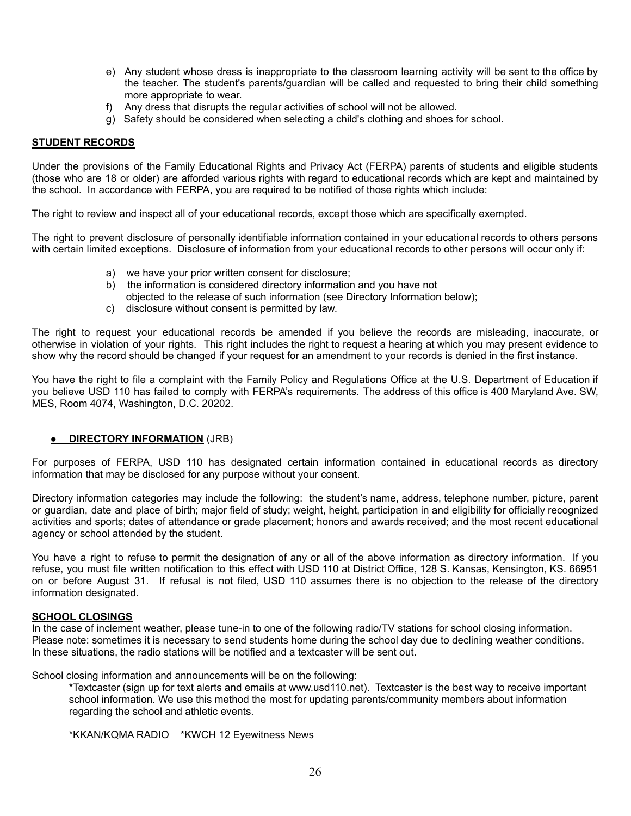- e) Any student whose dress is inappropriate to the classroom learning activity will be sent to the office by the teacher. The student's parents/guardian will be called and requested to bring their child something more appropriate to wear.
- f) Any dress that disrupts the regular activities of school will not be allowed.
- g) Safety should be considered when selecting a child's clothing and shoes for school.

#### **STUDENT RECORDS**

Under the provisions of the Family Educational Rights and Privacy Act (FERPA) parents of students and eligible students (those who are 18 or older) are afforded various rights with regard to educational records which are kept and maintained by the school. In accordance with FERPA, you are required to be notified of those rights which include:

The right to review and inspect all of your educational records, except those which are specifically exempted.

The right to prevent disclosure of personally identifiable information contained in your educational records to others persons with certain limited exceptions. Disclosure of information from your educational records to other persons will occur only if:

- a) we have your prior written consent for disclosure;
- b) the information is considered directory information and you have not objected to the release of such information (see Directory Information below);
- c) disclosure without consent is permitted by law.

The right to request your educational records be amended if you believe the records are misleading, inaccurate, or otherwise in violation of your rights. This right includes the right to request a hearing at which you may present evidence to show why the record should be changed if your request for an amendment to your records is denied in the first instance.

You have the right to file a complaint with the Family Policy and Regulations Office at the U.S. Department of Education if you believe USD 110 has failed to comply with FERPA's requirements. The address of this office is 400 Maryland Ave. SW, MES, Room 4074, Washington, D.C. 20202.

#### **• DIRECTORY INFORMATION** (JRB)

For purposes of FERPA, USD 110 has designated certain information contained in educational records as directory information that may be disclosed for any purpose without your consent.

Directory information categories may include the following: the student's name, address, telephone number, picture, parent or guardian, date and place of birth; major field of study; weight, height, participation in and eligibility for officially recognized activities and sports; dates of attendance or grade placement; honors and awards received; and the most recent educational agency or school attended by the student.

You have a right to refuse to permit the designation of any or all of the above information as directory information. If you refuse, you must file written notification to this effect with USD 110 at District Office, 128 S. Kansas, Kensington, KS. 66951 on or before August 31. If refusal is not filed, USD 110 assumes there is no objection to the release of the directory information designated.

#### **SCHOOL CLOSINGS**

In the case of inclement weather, please tune-in to one of the following radio/TV stations for school closing information. Please note: sometimes it is necessary to send students home during the school day due to declining weather conditions. In these situations, the radio stations will be notified and a textcaster will be sent out.

School closing information and announcements will be on the following:

\*Textcaster (sign up for text alerts and emails at www.usd110.net). Textcaster is the best way to receive important school information. We use this method the most for updating parents/community members about information regarding the school and athletic events.

\*KKAN/KQMA RADIO \*KWCH 12 Eyewitness News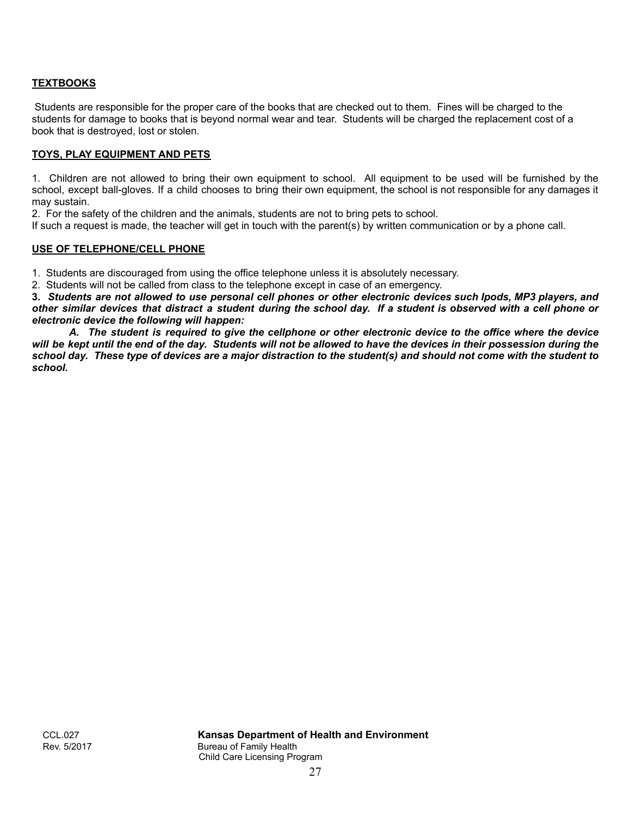# **TEXTBOOKS**

Students are responsible for the proper care of the books that are checked out to them. Fines will be charged to the students for damage to books that is beyond normal wear and tear. Students will be charged the replacement cost of a book that is destroyed, lost or stolen.

# **TOYS, PLAY EQUIPMENT AND PETS**

1. Children are not allowed to bring their own equipment to school. All equipment to be used will be furnished by the school, except ball-gloves. If a child chooses to bring their own equipment, the school is not responsible for any damages it may sustain.

2. For the safety of the children and the animals, students are not to bring pets to school.

If such a request is made, the teacher will get in touch with the parent(s) by written communication or by a phone call.

#### **USE OF TELEPHONE/CELL PHONE**

1. Students are discouraged from using the office telephone unless it is absolutely necessary.

2. Students will not be called from class to the telephone except in case of an emergency.

**3.** *Students are not allowed to use personal cell phones or other electronic devices such Ipods, MP3 players, and other similar devices that distract a student during the school day. If a student is observed with a cell phone or electronic device the following will happen:*

*A. The student is required to give the cellphone or other electronic device to the office where the device will be kept until the end of the day. Students will not be allowed to have the devices in their possession during the school day. These type of devices are a major distraction to the student(s) and should not come with the student to school.*

CCL.027 **Kansas Department of Health and Environment** Bureau of Family Health Child Care Licensing Program